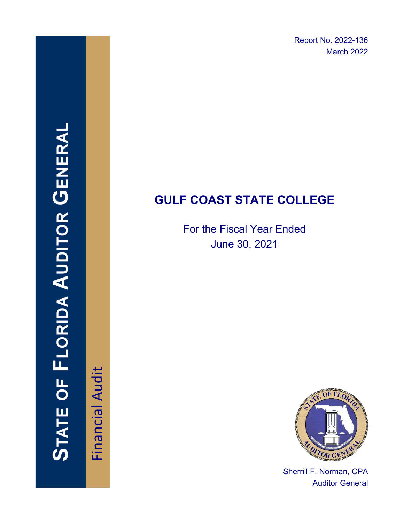Report No. 2022-136 March 2022

# STATE OF FLORIDA AUDITOR GENERAI

Financial Audit Financial Audit

# **GULF COAST STATE COLLEGE**

For the Fiscal Year Ended June 30, 2021



Sherrill F. Norman, CPA Auditor General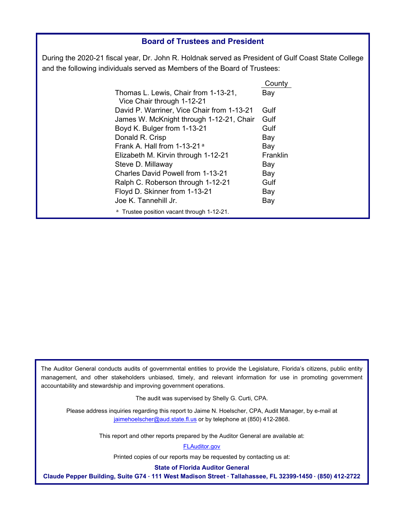#### **Board of Trustees and President**

During the 2020-21 fiscal year, Dr. John R. Holdnak served as President of Gulf Coast State College and the following individuals served as Members of the Board of Trustees:

|                                                       | County   |
|-------------------------------------------------------|----------|
| Thomas L. Lewis, Chair from 1-13-21,                  | Bay      |
| Vice Chair through 1-12-21                            |          |
| David P. Warriner, Vice Chair from 1-13-21            | Gulf     |
| James W. McKnight through 1-12-21, Chair              | Gulf     |
| Boyd K. Bulger from 1-13-21                           | Gulf     |
| Donald R. Crisp                                       | Bay      |
| Frank A. Hall from 1-13-21 $a$                        | Bay      |
| Elizabeth M. Kirvin through 1-12-21                   | Franklin |
| Steve D. Millaway                                     | Bay      |
| Charles David Powell from 1-13-21                     | Bay      |
| Ralph C. Roberson through 1-12-21                     | Gulf     |
| Floyd D. Skinner from 1-13-21                         | Bay      |
| Joe K. Tannehill Jr.                                  | Bay      |
| <sup>a</sup> Trustee position vacant through 1-12-21. |          |

The Auditor General conducts audits of governmental entities to provide the Legislature, Florida's citizens, public entity management, and other stakeholders unbiased, timely, and relevant information for use in promoting government accountability and stewardship and improving government operations.

The audit was supervised by Shelly G. Curti, CPA.

Please address inquiries regarding this report to Jaime N. Hoelscher, CPA, Audit Manager, by e-mail at jaimehoelscher@aud.state.fl.us or by telephone at (850) 412-2868.

This report and other reports prepared by the Auditor General are available at:

[FLAuditor.gov](http://flauditor.gov/) 

Printed copies of our reports may be requested by contacting us at:

**State of Florida Auditor General** 

**Claude Pepper Building, Suite G74 · 111 West Madison Street · Tallahassee, FL 32399-1450 · (850) 412-2722**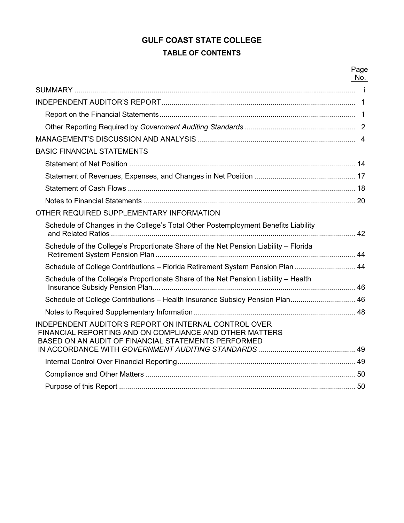# **GULF COAST STATE COLLEGE TABLE OF CONTENTS**

|                                                                                                                                                                         | Page<br>No. |
|-------------------------------------------------------------------------------------------------------------------------------------------------------------------------|-------------|
|                                                                                                                                                                         |             |
|                                                                                                                                                                         |             |
|                                                                                                                                                                         |             |
|                                                                                                                                                                         |             |
|                                                                                                                                                                         |             |
| <b>BASIC FINANCIAL STATEMENTS</b>                                                                                                                                       |             |
|                                                                                                                                                                         |             |
|                                                                                                                                                                         |             |
|                                                                                                                                                                         |             |
|                                                                                                                                                                         |             |
| OTHER REQUIRED SUPPLEMENTARY INFORMATION                                                                                                                                |             |
| Schedule of Changes in the College's Total Other Postemployment Benefits Liability                                                                                      |             |
| Schedule of the College's Proportionate Share of the Net Pension Liability - Florida                                                                                    |             |
| Schedule of College Contributions - Florida Retirement System Pension Plan  44                                                                                          |             |
| Schedule of the College's Proportionate Share of the Net Pension Liability - Health                                                                                     |             |
| Schedule of College Contributions - Health Insurance Subsidy Pension Plan 46                                                                                            |             |
|                                                                                                                                                                         |             |
| INDEPENDENT AUDITOR'S REPORT ON INTERNAL CONTROL OVER<br>FINANCIAL REPORTING AND ON COMPLIANCE AND OTHER MATTERS<br>BASED ON AN AUDIT OF FINANCIAL STATEMENTS PERFORMED |             |
|                                                                                                                                                                         |             |
|                                                                                                                                                                         |             |
|                                                                                                                                                                         |             |
|                                                                                                                                                                         |             |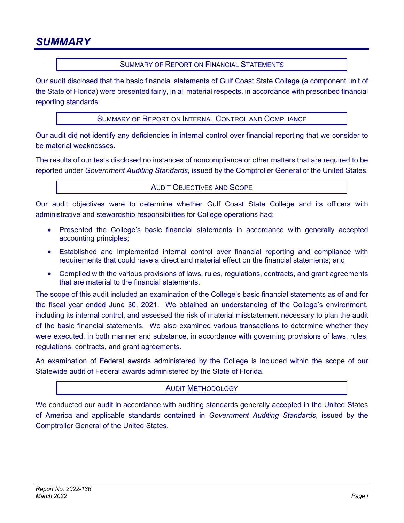#### SUMMARY OF REPORT ON FINANCIAL STATEMENTS

<span id="page-3-0"></span>Our audit disclosed that the basic financial statements of Gulf Coast State College (a component unit of the State of Florida) were presented fairly, in all material respects, in accordance with prescribed financial reporting standards.

SUMMARY OF REPORT ON INTERNAL CONTROL AND COMPLIANCE

Our audit did not identify any deficiencies in internal control over financial reporting that we consider to be material weaknesses.

The results of our tests disclosed no instances of noncompliance or other matters that are required to be reported under *Government Auditing Standards*, issued by the Comptroller General of the United States.

#### AUDIT OBJECTIVES AND SCOPE

Our audit objectives were to determine whether Gulf Coast State College and its officers with administrative and stewardship responsibilities for College operations had:

- Presented the College's basic financial statements in accordance with generally accepted accounting principles;
- Established and implemented internal control over financial reporting and compliance with requirements that could have a direct and material effect on the financial statements; and
- Complied with the various provisions of laws, rules, regulations, contracts, and grant agreements that are material to the financial statements.

The scope of this audit included an examination of the College's basic financial statements as of and for the fiscal year ended June 30, 2021. We obtained an understanding of the College's environment, including its internal control, and assessed the risk of material misstatement necessary to plan the audit of the basic financial statements. We also examined various transactions to determine whether they were executed, in both manner and substance, in accordance with governing provisions of laws, rules, regulations, contracts, and grant agreements.

An examination of Federal awards administered by the College is included within the scope of our Statewide audit of Federal awards administered by the State of Florida.

# AUDIT METHODOLOGY

We conducted our audit in accordance with auditing standards generally accepted in the United States of America and applicable standards contained in *Government Auditing Standards*, issued by the Comptroller General of the United States.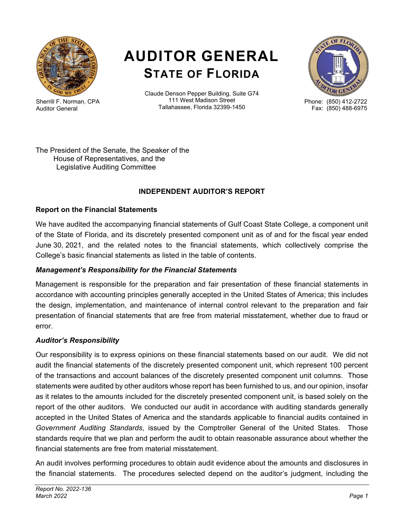<span id="page-4-0"></span>

Sherrill F. Norman, CPA Auditor General

# **AUDITOR GENERAL STATE OF FLORIDA**

Claude Denson Pepper Building, Suite G74 111 West Madison Street Tallahassee, Florida 32399-1450



Phone: (850) 412-2722 Fax: (850) 488-6975

The President of the Senate, the Speaker of the House of Representatives, and the Legislative Auditing Committee

# **INDEPENDENT AUDITOR'S REPORT**

# **Report on the Financial Statements**

We have audited the accompanying financial statements of Gulf Coast State College, a component unit of the State of Florida, and its discretely presented component unit as of and for the fiscal year ended June 30, 2021, and the related notes to the financial statements, which collectively comprise the College's basic financial statements as listed in the table of contents.

# *Management's Responsibility for the Financial Statements*

Management is responsible for the preparation and fair presentation of these financial statements in accordance with accounting principles generally accepted in the United States of America; this includes the design, implementation, and maintenance of internal control relevant to the preparation and fair presentation of financial statements that are free from material misstatement, whether due to fraud or error.

# *Auditor's Responsibility*

Our responsibility is to express opinions on these financial statements based on our audit. We did not audit the financial statements of the discretely presented component unit, which represent 100 percent of the transactions and account balances of the discretely presented component unit columns. Those statements were audited by other auditors whose report has been furnished to us, and our opinion, insofar as it relates to the amounts included for the discretely presented component unit, is based solely on the report of the other auditors. We conducted our audit in accordance with auditing standards generally accepted in the United States of America and the standards applicable to financial audits contained in *Government Auditing Standards*, issued by the Comptroller General of the United States. Those standards require that we plan and perform the audit to obtain reasonable assurance about whether the financial statements are free from material misstatement.

An audit involves performing procedures to obtain audit evidence about the amounts and disclosures in the financial statements. The procedures selected depend on the auditor's judgment, including the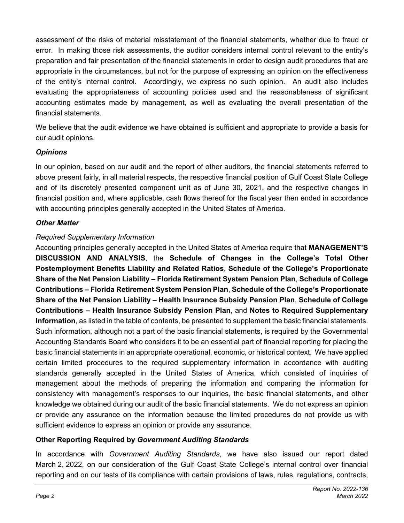<span id="page-5-0"></span>assessment of the risks of material misstatement of the financial statements, whether due to fraud or error. In making those risk assessments, the auditor considers internal control relevant to the entity's preparation and fair presentation of the financial statements in order to design audit procedures that are appropriate in the circumstances, but not for the purpose of expressing an opinion on the effectiveness of the entity's internal control. Accordingly, we express no such opinion. An audit also includes evaluating the appropriateness of accounting policies used and the reasonableness of significant accounting estimates made by management, as well as evaluating the overall presentation of the financial statements.

We believe that the audit evidence we have obtained is sufficient and appropriate to provide a basis for our audit opinions.

# *Opinions*

In our opinion, based on our audit and the report of other auditors, the financial statements referred to above present fairly, in all material respects, the respective financial position of Gulf Coast State College and of its discretely presented component unit as of June 30, 2021, and the respective changes in financial position and, where applicable, cash flows thereof for the fiscal year then ended in accordance with accounting principles generally accepted in the United States of America.

# *Other Matter*

# *Required Supplementary Information*

Accounting principles generally accepted in the United States of America require that **MANAGEMENT'S DISCUSSION AND ANALYSIS**, the **Schedule of Changes in the College's Total Other Postemployment Benefits Liability and Related Ratios**, **Schedule of the College's Proportionate Share of the Net Pension Liability – Florida Retirement System Pension Plan**, **Schedule of College Contributions – Florida Retirement System Pension Plan**, **Schedule of the College's Proportionate Share of the Net Pension Liability – Health Insurance Subsidy Pension Plan**, **Schedule of College Contributions – Health Insurance Subsidy Pension Plan**, and **Notes to Required Supplementary Information**, as listed in the table of contents, be presented to supplement the basic financial statements. Such information, although not a part of the basic financial statements, is required by the Governmental Accounting Standards Board who considers it to be an essential part of financial reporting for placing the basic financial statements in an appropriate operational, economic, or historical context. We have applied certain limited procedures to the required supplementary information in accordance with auditing standards generally accepted in the United States of America, which consisted of inquiries of management about the methods of preparing the information and comparing the information for consistency with management's responses to our inquiries, the basic financial statements, and other knowledge we obtained during our audit of the basic financial statements. We do not express an opinion or provide any assurance on the information because the limited procedures do not provide us with sufficient evidence to express an opinion or provide any assurance.

# **Other Reporting Required by** *Government Auditing Standards*

In accordance with *Government Auditing Standards*, we have also issued our report dated March 2, 2022, on our consideration of the Gulf Coast State College's internal control over financial reporting and on our tests of its compliance with certain provisions of laws, rules, regulations, contracts,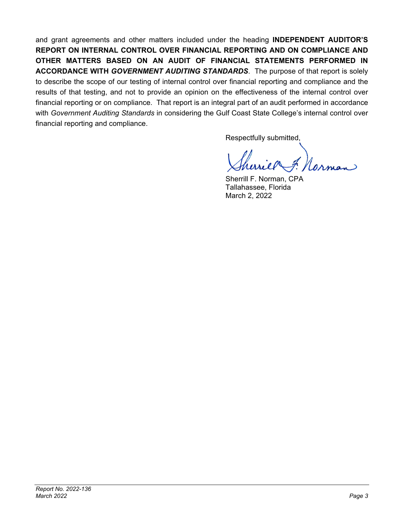and grant agreements and other matters included under the heading **INDEPENDENT AUDITOR'S REPORT ON INTERNAL CONTROL OVER FINANCIAL REPORTING AND ON COMPLIANCE AND OTHER MATTERS BASED ON AN AUDIT OF FINANCIAL STATEMENTS PERFORMED IN ACCORDANCE WITH** *GOVERNMENT AUDITING STANDARDS*. The purpose of that report is solely to describe the scope of our testing of internal control over financial reporting and compliance and the results of that testing, and not to provide an opinion on the effectiveness of the internal control over financial reporting or on compliance. That report is an integral part of an audit performed in accordance with *Government Auditing Standards* in considering the Gulf Coast State College's internal control over financial reporting and compliance.

Respectfully submitted,

Sherrill F. Norman, CPA Tallahassee, Florida March 2, 2022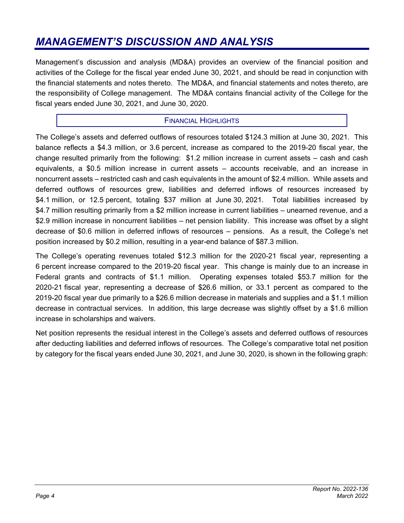# <span id="page-7-0"></span>*MANAGEMENT'S DISCUSSION AND ANALYSIS*

Management's discussion and analysis (MD&A) provides an overview of the financial position and activities of the College for the fiscal year ended June 30, 2021, and should be read in conjunction with the financial statements and notes thereto. The MD&A, and financial statements and notes thereto, are the responsibility of College management. The MD&A contains financial activity of the College for the fiscal years ended June 30, 2021, and June 30, 2020.

# FINANCIAL HIGHLIGHTS

The College's assets and deferred outflows of resources totaled \$124.3 million at June 30, 2021. This balance reflects a \$4.3 million, or 3.6 percent, increase as compared to the 2019-20 fiscal year, the change resulted primarily from the following: \$1.2 million increase in current assets – cash and cash equivalents, a \$0.5 million increase in current assets – accounts receivable, and an increase in noncurrent assets – restricted cash and cash equivalents in the amount of \$2.4 million. While assets and deferred outflows of resources grew, liabilities and deferred inflows of resources increased by \$4.1 million, or 12.5 percent, totaling \$37 million at June 30, 2021. Total liabilities increased by \$4.7 million resulting primarily from a \$2 million increase in current liabilities – unearned revenue, and a \$2.9 million increase in noncurrent liabilities – net pension liability. This increase was offset by a slight decrease of \$0.6 million in deferred inflows of resources – pensions. As a result, the College's net position increased by \$0.2 million, resulting in a year-end balance of \$87.3 million.

The College's operating revenues totaled \$12.3 million for the 2020-21 fiscal year, representing a 6 percent increase compared to the 2019-20 fiscal year. This change is mainly due to an increase in Federal grants and contracts of \$1.1 million. Operating expenses totaled \$53.7 million for the 2020-21 fiscal year, representing a decrease of \$26.6 million, or 33.1 percent as compared to the 2019-20 fiscal year due primarily to a \$26.6 million decrease in materials and supplies and a \$1.1 million decrease in contractual services. In addition, this large decrease was slightly offset by a \$1.6 million increase in scholarships and waivers.

Net position represents the residual interest in the College's assets and deferred outflows of resources after deducting liabilities and deferred inflows of resources. The College's comparative total net position by category for the fiscal years ended June 30, 2021, and June 30, 2020, is shown in the following graph: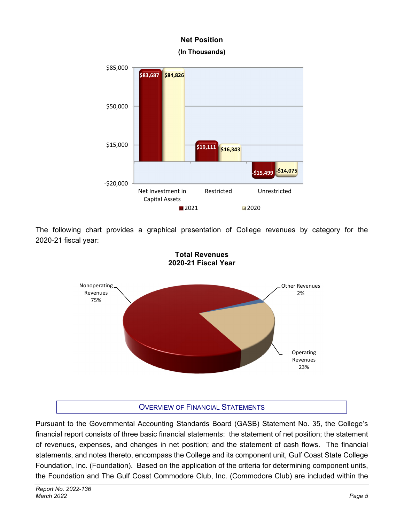



The following chart provides a graphical presentation of College revenues by category for the 2020-21 fiscal year:



# OVERVIEW OF FINANCIAL STATEMENTS

Pursuant to the Governmental Accounting Standards Board (GASB) Statement No. 35, the College's financial report consists of three basic financial statements: the statement of net position; the statement of revenues, expenses, and changes in net position; and the statement of cash flows. The financial statements, and notes thereto, encompass the College and its component unit, Gulf Coast State College Foundation, Inc. (Foundation). Based on the application of the criteria for determining component units, the Foundation and The Gulf Coast Commodore Club, Inc. (Commodore Club) are included within the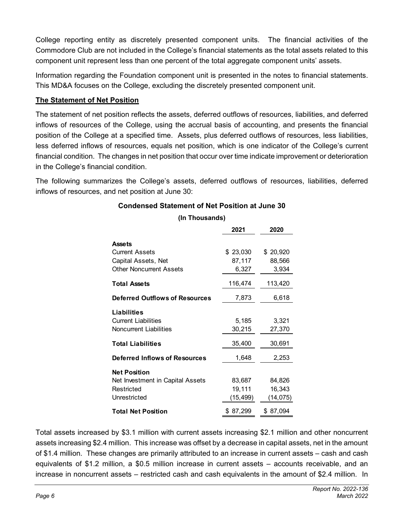College reporting entity as discretely presented component units. The financial activities of the Commodore Club are not included in the College's financial statements as the total assets related to this component unit represent less than one percent of the total aggregate component units' assets.

Information regarding the Foundation component unit is presented in the notes to financial statements. This MD&A focuses on the College, excluding the discretely presented component unit.

# **The Statement of Net Position**

The statement of net position reflects the assets, deferred outflows of resources, liabilities, and deferred inflows of resources of the College, using the accrual basis of accounting, and presents the financial position of the College at a specified time. Assets, plus deferred outflows of resources, less liabilities, less deferred inflows of resources, equals net position, which is one indicator of the College's current financial condition. The changes in net position that occur over time indicate improvement or deterioration in the College's financial condition.

The following summarizes the College's assets, deferred outflows of resources, liabilities, deferred inflows of resources, and net position at June 30:

# **Condensed Statement of Net Position at June 30**

|                                       | 2021      | 2020      |
|---------------------------------------|-----------|-----------|
| <b>Assets</b>                         |           |           |
| <b>Current Assets</b>                 | \$23,030  | \$20,920  |
| Capital Assets, Net                   | 87,117    | 88,566    |
| <b>Other Noncurrent Assets</b>        | 6,327     | 3,934     |
| <b>Total Assets</b>                   | 116,474   | 113,420   |
| <b>Deferred Outflows of Resources</b> | 7,873     | 6,618     |
| <b>Liabilities</b>                    |           |           |
| <b>Current Liabilities</b>            | 5,185     | 3,321     |
| <b>Noncurrent Liabilities</b>         | 30,215    | 27,370    |
| <b>Total Liabilities</b>              | 35,400    | 30,691    |
| Deferred Inflows of Resources         | 1,648     | 2,253     |
| <b>Net Position</b>                   |           |           |
| Net Investment in Capital Assets      | 83,687    | 84,826    |
| Restricted                            | 19,111    | 16,343    |
| Unrestricted                          | (15, 499) | (14, 075) |
| <b>Total Net Position</b>             | \$87,299  | \$87,094  |

#### **(In Thousands)**

Total assets increased by \$3.1 million with current assets increasing \$2.1 million and other noncurrent assets increasing \$2.4 million. This increase was offset by a decrease in capital assets, net in the amount of \$1.4 million. These changes are primarily attributed to an increase in current assets – cash and cash equivalents of \$1.2 million, a \$0.5 million increase in current assets – accounts receivable, and an increase in noncurrent assets – restricted cash and cash equivalents in the amount of \$2.4 million. In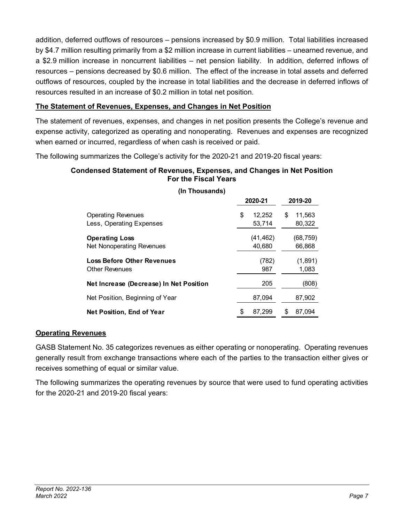addition, deferred outflows of resources – pensions increased by \$0.9 million. Total liabilities increased by \$4.7 million resulting primarily from a \$2 million increase in current liabilities – unearned revenue, and a \$2.9 million increase in noncurrent liabilities – net pension liability. In addition, deferred inflows of resources – pensions decreased by \$0.6 million. The effect of the increase in total assets and deferred outflows of resources, coupled by the increase in total liabilities and the decrease in deferred inflows of resources resulted in an increase of \$0.2 million in total net position.

# **The Statement of Revenues, Expenses, and Changes in Net Position**

The statement of revenues, expenses, and changes in net position presents the College's revenue and expense activity, categorized as operating and nonoperating. Revenues and expenses are recognized when earned or incurred, regardless of when cash is received or paid.

The following summarizes the College's activity for the 2020-21 and 2019-20 fiscal years:

## **Condensed Statement of Revenues, Expenses, and Changes in Net Position For the Fiscal Years**

|                                                            | 2020-21 |                     | 2019-20 |                    |
|------------------------------------------------------------|---------|---------------------|---------|--------------------|
| <b>Operating Revenues</b><br>Less, Operating Expenses      | \$      | 12,252<br>53,714    | \$      | 11,563<br>80,322   |
| <b>Operating Loss</b><br>Net Nonoperating Revenues         |         | (41, 462)<br>40,680 |         | (68,759)<br>66,868 |
| <b>Loss Before Other Revenues</b><br><b>Other Revenues</b> |         | (782)<br>987        |         | (1,891)<br>1,083   |
| Net Increase (Decrease) In Net Position                    |         | 205                 |         | (808)              |
| Net Position, Beginning of Year                            |         | 87,094              |         | 87,902             |
| <b>Net Position, End of Year</b>                           | \$      | 87.299              | \$      | 87.094             |

**(In Thousands)** 

# **Operating Revenues**

GASB Statement No. 35 categorizes revenues as either operating or nonoperating. Operating revenues generally result from exchange transactions where each of the parties to the transaction either gives or receives something of equal or similar value.

The following summarizes the operating revenues by source that were used to fund operating activities for the 2020-21 and 2019-20 fiscal years: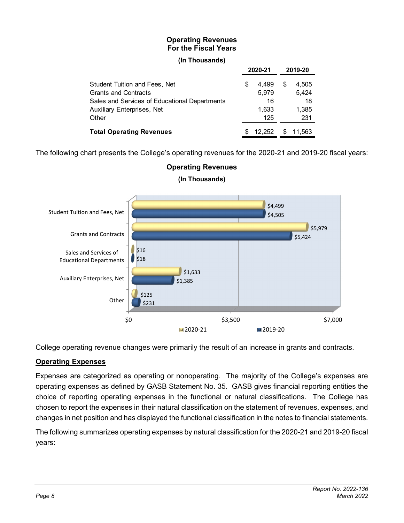# **Operating Revenues For the Fiscal Years**

#### **(In Thousands)**

|                                                                              | 2020-21 |              | 2019-20 |              |
|------------------------------------------------------------------------------|---------|--------------|---------|--------------|
| <b>Student Tuition and Fees, Net</b>                                         | S       | 4.499        | S       | 4.505        |
| <b>Grants and Contracts</b><br>Sales and Services of Educational Departments |         | 5.979<br>16  |         | 5,424<br>18  |
| <b>Auxiliary Enterprises, Net</b><br>Other                                   |         | 1,633<br>125 |         | 1,385<br>231 |
| <b>Total Operating Revenues</b>                                              |         | 12,252       | S       | 11.563       |

The following chart presents the College's operating revenues for the 2020-21 and 2019-20 fiscal years:



**Operating Revenues (In Thousands)** 

College operating revenue changes were primarily the result of an increase in grants and contracts.

# **Operating Expenses**

Expenses are categorized as operating or nonoperating. The majority of the College's expenses are operating expenses as defined by GASB Statement No. 35. GASB gives financial reporting entities the choice of reporting operating expenses in the functional or natural classifications. The College has chosen to report the expenses in their natural classification on the statement of revenues, expenses, and changes in net position and has displayed the functional classification in the notes to financial statements.

The following summarizes operating expenses by natural classification for the 2020-21 and 2019-20 fiscal years: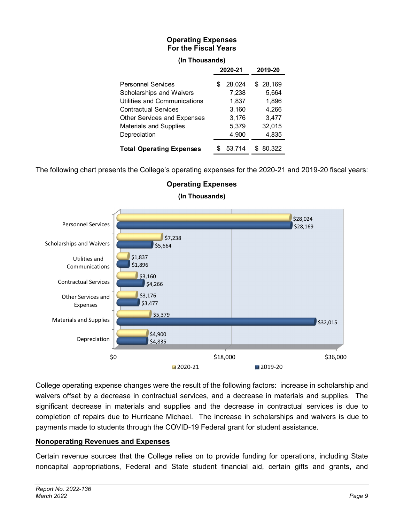# **Operating Expenses For the Fiscal Years**

#### **(In Thousands)**

|                                                                                                                                                                                                             | 2020-21 |                                                              |                                                                 |  |  |  |  |  |  |  |  |  | 2019-20 |
|-------------------------------------------------------------------------------------------------------------------------------------------------------------------------------------------------------------|---------|--------------------------------------------------------------|-----------------------------------------------------------------|--|--|--|--|--|--|--|--|--|---------|
| <b>Personnel Services</b><br>Scholarships and Waivers<br>Utilities and Communications<br><b>Contractual Services</b><br><b>Other Services and Expenses</b><br><b>Materials and Supplies</b><br>Depreciation | S       | 28,024<br>7,238<br>1,837<br>3,160<br>3,176<br>5,379<br>4,900 | \$28,169<br>5,664<br>1,896<br>4,266<br>3,477<br>32,015<br>4,835 |  |  |  |  |  |  |  |  |  |         |
| <b>Total Operating Expenses</b>                                                                                                                                                                             |         | 53,714                                                       | 80.322                                                          |  |  |  |  |  |  |  |  |  |         |

The following chart presents the College's operating expenses for the 2020-21 and 2019-20 fiscal years:



# **Operating Expenses**

College operating expense changes were the result of the following factors: increase in scholarship and waivers offset by a decrease in contractual services, and a decrease in materials and supplies. The significant decrease in materials and supplies and the decrease in contractual services is due to completion of repairs due to Hurricane Michael. The increase in scholarships and waivers is due to payments made to students through the COVID-19 Federal grant for student assistance.

# **Nonoperating Revenues and Expenses**

Certain revenue sources that the College relies on to provide funding for operations, including State noncapital appropriations, Federal and State student financial aid, certain gifts and grants, and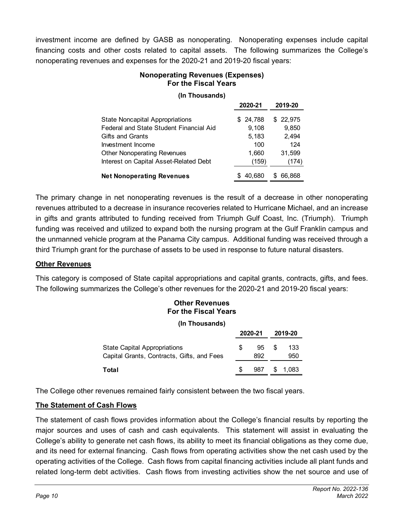investment income are defined by GASB as nonoperating. Nonoperating expenses include capital financing costs and other costs related to capital assets. The following summarizes the College's nonoperating revenues and expenses for the 2020-21 and 2019-20 fiscal years:

# **Nonoperating Revenues (Expenses) For the Fiscal Years**

#### **(In Thousands)**

|                                                             | 2020-21        | 2019-20        |
|-------------------------------------------------------------|----------------|----------------|
| <b>State Noncapital Appropriations</b>                      | \$24,788       | \$22,975       |
| Federal and State Student Financial Aid<br>Gifts and Grants | 9,108<br>5,183 | 9,850<br>2,494 |
| Investment Income<br><b>Other Nonoperating Revenues</b>     | 100<br>1,660   | 124<br>31,599  |
| Interest on Capital Asset-Related Debt                      | (159)          | (174)          |
| <b>Net Nonoperating Revenues</b>                            | 40.680         | 66.868<br>Ж,   |

The primary change in net nonoperating revenues is the result of a decrease in other nonoperating revenues attributed to a decrease in insurance recoveries related to Hurricane Michael, and an increase in gifts and grants attributed to funding received from Triumph Gulf Coast, Inc. (Triumph). Triumph funding was received and utilized to expand both the nursing program at the Gulf Franklin campus and the unmanned vehicle program at the Panama City campus. Additional funding was received through a third Triumph grant for the purchase of assets to be used in response to future natural disasters.

## **Other Revenues**

This category is composed of State capital appropriations and capital grants, contracts, gifts, and fees. The following summarizes the College's other revenues for the 2020-21 and 2019-20 fiscal years:

# **Other Revenues For the Fiscal Years**

#### **(In Thousands)**

|                                                                                   | 2020-21    |     | 2019-20    |
|-----------------------------------------------------------------------------------|------------|-----|------------|
| <b>State Capital Appropriations</b><br>Capital Grants, Contracts, Gifts, and Fees | 95.<br>892 | \$. | 133<br>950 |
| Total                                                                             | 987        |     | \$1,083    |

The College other revenues remained fairly consistent between the two fiscal years.

# **The Statement of Cash Flows**

The statement of cash flows provides information about the College's financial results by reporting the major sources and uses of cash and cash equivalents. This statement will assist in evaluating the College's ability to generate net cash flows, its ability to meet its financial obligations as they come due, and its need for external financing. Cash flows from operating activities show the net cash used by the operating activities of the College. Cash flows from capital financing activities include all plant funds and related long-term debt activities. Cash flows from investing activities show the net source and use of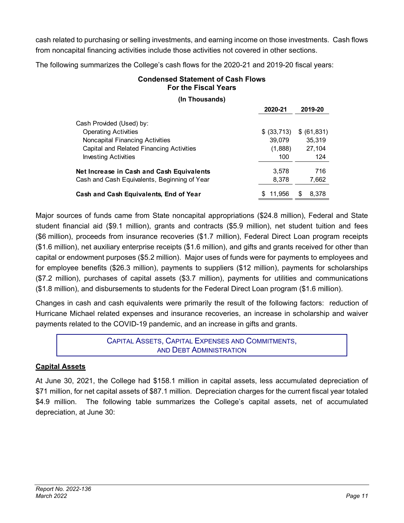cash related to purchasing or selling investments, and earning income on those investments. Cash flows from noncapital financing activities include those activities not covered in other sections.

The following summarizes the College's cash flows for the 2020-21 and 2019-20 fiscal years:

# **Condensed Statement of Cash Flows For the Fiscal Years**

# **(In Thousands)**

**2020-21 2019-20**

| Cash Provided (Used) by:                     |             |              |
|----------------------------------------------|-------------|--------------|
| <b>Operating Activities</b>                  | \$ (33,713) | \$ (61, 831) |
| Noncapital Financing Activities              | 39,079      | 35,319       |
| Capital and Related Financing Activities     | (1,888)     | 27,104       |
| <b>Investing Activities</b>                  | 100         | 124          |
| Net Increase in Cash and Cash Equivalents    | 3,578       | 716          |
| Cash and Cash Equivalents, Beginning of Year | 8,378       | 7,662        |
| Cash and Cash Equivalents, End of Year       | 11.956      | 8.378<br>S   |

Major sources of funds came from State noncapital appropriations (\$24.8 million), Federal and State student financial aid (\$9.1 million), grants and contracts (\$5.9 million), net student tuition and fees (\$6 million), proceeds from insurance recoveries (\$1.7 million), Federal Direct Loan program receipts (\$1.6 million), net auxiliary enterprise receipts (\$1.6 million), and gifts and grants received for other than capital or endowment purposes (\$5.2 million). Major uses of funds were for payments to employees and for employee benefits (\$26.3 million), payments to suppliers (\$12 million), payments for scholarships (\$7.2 million), purchases of capital assets (\$3.7 million), payments for utilities and communications (\$1.8 million), and disbursements to students for the Federal Direct Loan program (\$1.6 million).

Changes in cash and cash equivalents were primarily the result of the following factors: reduction of Hurricane Michael related expenses and insurance recoveries, an increase in scholarship and waiver payments related to the COVID-19 pandemic, and an increase in gifts and grants.

> CAPITAL ASSETS, CAPITAL EXPENSES AND COMMITMENTS, AND DEBT ADMINISTRATION

# **Capital Assets**

At June 30, 2021, the College had \$158.1 million in capital assets, less accumulated depreciation of \$71 million, for net capital assets of \$87.1 million. Depreciation charges for the current fiscal year totaled \$4.9 million. The following table summarizes the College's capital assets, net of accumulated depreciation, at June 30: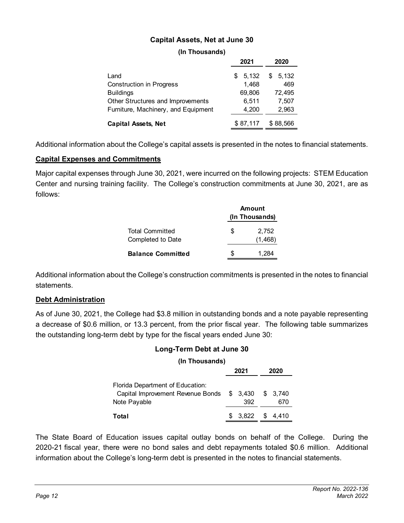# **Capital Assets, Net at June 30**

|  | (In Thousands) |
|--|----------------|
|--|----------------|

|                                     | 2021         | 2020     |
|-------------------------------------|--------------|----------|
| Land                                | 5,132<br>\$. | \$5,132  |
| <b>Construction in Progress</b>     | 1.468        | 469      |
| <b>Buildings</b>                    | 69,806       | 72.495   |
| Other Structures and Improvements   | 6,511        | 7,507    |
| Furniture, Machinery, and Equipment | 4,200        | 2,963    |
| <b>Capital Assets, Net</b>          | \$87,117     | \$88,566 |

Additional information about the College's capital assets is presented in the notes to financial statements.

# **Capital Expenses and Commitments**

Major capital expenses through June 30, 2021, were incurred on the following projects: STEM Education Center and nursing training facility. The College's construction commitments at June 30, 2021, are as follows:

|                                             | <b>Amount</b><br>(In Thousands) |                   |  |
|---------------------------------------------|---------------------------------|-------------------|--|
| <b>Total Committed</b><br>Completed to Date | S                               | 2.752<br>(1, 468) |  |
| <b>Balance Committed</b>                    | S.                              | 1.284             |  |

Additional information about the College's construction commitments is presented in the notes to financial statements.

# **Debt Administration**

As of June 30, 2021, the College had \$3.8 million in outstanding bonds and a note payable representing a decrease of \$0.6 million, or 13.3 percent, from the prior fiscal year. The following table summarizes the outstanding long-term debt by type for the fiscal years ended June 30:

#### **Long-Term Debt at June 30**

| (In Thousands)                                                                        |  |                          |  |      |  |  |  |
|---------------------------------------------------------------------------------------|--|--------------------------|--|------|--|--|--|
|                                                                                       |  | 2021                     |  | 2020 |  |  |  |
| Florida Department of Education:<br>Capital Improvement Revenue Bonds<br>Note Payable |  | $$3,430$ $$3,740$<br>392 |  | 670  |  |  |  |
| Total                                                                                 |  | $$3,822$ $$4,410$        |  |      |  |  |  |

The State Board of Education issues capital outlay bonds on behalf of the College. During the 2020-21 fiscal year, there were no bond sales and debt repayments totaled \$0.6 million. Additional information about the College's long-term debt is presented in the notes to financial statements.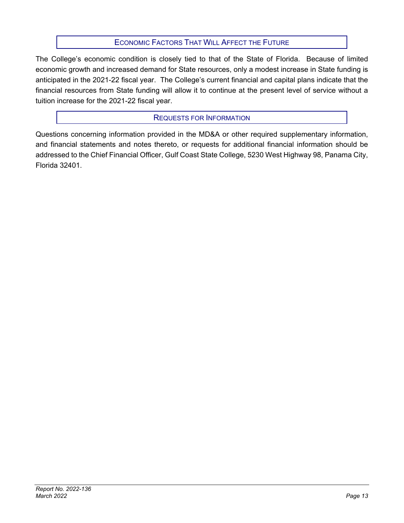# ECONOMIC FACTORS THAT WILL AFFECT THE FUTURE

The College's economic condition is closely tied to that of the State of Florida. Because of limited economic growth and increased demand for State resources, only a modest increase in State funding is anticipated in the 2021-22 fiscal year. The College's current financial and capital plans indicate that the financial resources from State funding will allow it to continue at the present level of service without a tuition increase for the 2021-22 fiscal year.

# REQUESTS FOR INFORMATION

Questions concerning information provided in the MD&A or other required supplementary information, and financial statements and notes thereto, or requests for additional financial information should be addressed to the Chief Financial Officer, Gulf Coast State College, 5230 West Highway 98, Panama City, Florida 32401.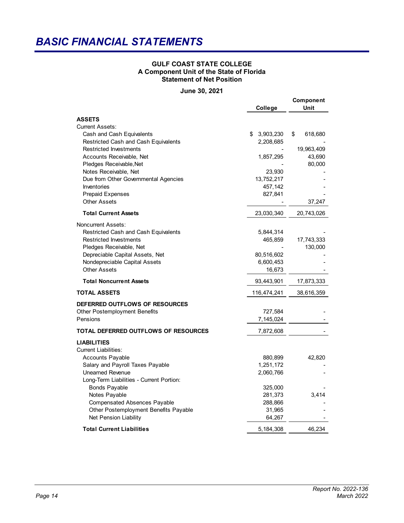# <span id="page-17-0"></span>*BASIC FINANCIAL STATEMENTS*

#### **GULF COAST STATE COLLEGE A Component Unit of the State of Florida Statement of Net Position**

**June 30, 2021** 

|                                                |                 | Component     |  |
|------------------------------------------------|-----------------|---------------|--|
|                                                | College         | Unit          |  |
| <b>ASSETS</b>                                  |                 |               |  |
| <b>Current Assets:</b>                         |                 |               |  |
| Cash and Cash Equivalents                      | 3,903,230<br>\$ | \$<br>618,680 |  |
| Restricted Cash and Cash Equivalents           | 2,208,685       |               |  |
| <b>Restricted Investments</b>                  |                 | 19,963,409    |  |
| Accounts Receivable, Net                       | 1,857,295       | 43,690        |  |
| Pledges Receivable, Net                        |                 | 80,000        |  |
| Notes Receivable, Net                          | 23,930          |               |  |
| Due from Other Governmental Agencies           | 13,752,217      |               |  |
| Inventories                                    | 457,142         |               |  |
| <b>Prepaid Expenses</b><br><b>Other Assets</b> | 827,841         |               |  |
|                                                |                 | 37,247        |  |
| <b>Total Current Assets</b>                    | 23,030,340      | 20,743,026    |  |
| Noncurrent Assets:                             |                 |               |  |
| Restricted Cash and Cash Equivalents           | 5,844,314       |               |  |
| <b>Restricted Investments</b>                  | 465,859         | 17,743,333    |  |
| Pledges Receivable, Net                        |                 | 130,000       |  |
| Depreciable Capital Assets, Net                | 80,516,602      |               |  |
| Nondepreciable Capital Assets                  | 6,600,453       |               |  |
| <b>Other Assets</b>                            | 16,673          |               |  |
| <b>Total Noncurrent Assets</b>                 | 93,443,901      | 17,873,333    |  |
| <b>TOTAL ASSETS</b>                            | 116,474,241     | 38,616,359    |  |
| <b>DEFERRED OUTFLOWS OF RESOURCES</b>          |                 |               |  |
| <b>Other Postemployment Benefits</b>           | 727,584         |               |  |
| Pensions                                       | 7,145,024       |               |  |
| TOTAL DEFERRED OUTFLOWS OF RESOURCES           | 7,872,608       |               |  |
| <b>LIABILITIES</b>                             |                 |               |  |
| <b>Current Liabilities:</b>                    |                 |               |  |
| <b>Accounts Payable</b>                        | 880,899         | 42,820        |  |
| Salary and Payroll Taxes Payable               | 1,251,172       |               |  |
| <b>Unearned Revenue</b>                        | 2,060,766       |               |  |
| Long-Term Liabilities - Current Portion:       |                 |               |  |
| <b>Bonds Payable</b>                           | 325,000         |               |  |
| Notes Payable                                  | 281,373         | 3,414         |  |
| <b>Compensated Absences Payable</b>            | 288,866         |               |  |
| Other Postemployment Benefits Payable          | 31,965          |               |  |
| Net Pension Liability                          | 64,267          |               |  |
| <b>Total Current Liabilities</b>               | 5,184,308       | 46,234        |  |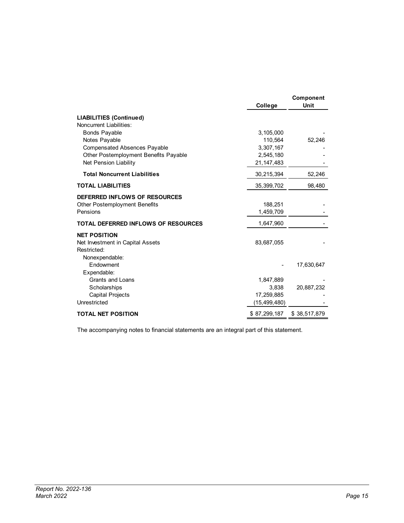|                                                                                          | College                    | Component<br>Unit |
|------------------------------------------------------------------------------------------|----------------------------|-------------------|
| <b>LIABILITIES (Continued)</b><br>Noncurrent Liabilities:                                |                            |                   |
| <b>Bonds Payable</b><br>Notes Payable                                                    | 3,105,000<br>110,564       | 52,246            |
| <b>Compensated Absences Payable</b>                                                      | 3,307,167                  |                   |
| Other Postemployment Benefits Payable<br>Net Pension Liability                           | 2,545,180<br>21, 147, 483  |                   |
| <b>Total Noncurrent Liabilities</b>                                                      | 30,215,394                 | 52,246            |
| <b>TOTAL LIABILITIES</b>                                                                 | 35, 399, 702               | 98,480            |
| DEFERRED INFLOWS OF RESOURCES<br><b>Other Postemployment Benefits</b><br>Pensions        | 188.251<br>1,459,709       |                   |
| TOTAL DEFERRED INFLOWS OF RESOURCES                                                      | 1,647,960                  |                   |
| <b>NET POSITION</b><br>Net Investment in Capital Assets<br>Restricted:<br>Nonexpendable: | 83,687,055                 |                   |
| Endowment<br>Expendable:                                                                 |                            | 17,630,647        |
| Grants and Loans                                                                         | 1,847,889                  |                   |
| Scholarships                                                                             | 3,838                      | 20,887,232        |
| <b>Capital Projects</b><br>Unrestricted                                                  | 17,259,885<br>(15,499,480) |                   |
| <b>TOTAL NET POSITION</b>                                                                | \$87,299,187               | \$38,517,879      |

The accompanying notes to financial statements are an integral part of this statement.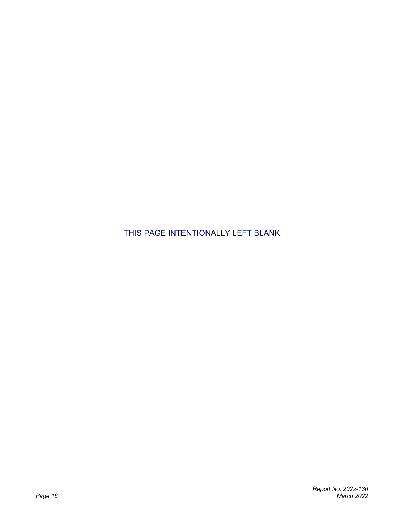THIS PAGE INTENTIONALLY LEFT BLANK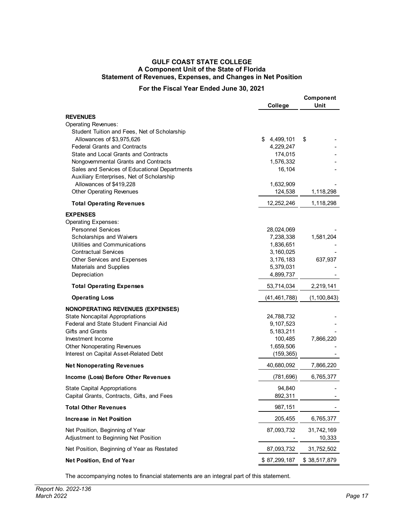#### **GULF COAST STATE COLLEGE A Component Unit of the State of Florida Statement of Revenues, Expenses, and Changes in Net Position**

#### **For the Fiscal Year Ended June 30, 2021**

<span id="page-20-0"></span>

|                                               |                 | Component     |
|-----------------------------------------------|-----------------|---------------|
|                                               | College         | Unit          |
| <b>REVENUES</b>                               |                 |               |
| <b>Operating Revenues:</b>                    |                 |               |
| Student Tuition and Fees, Net of Scholarship  |                 |               |
| Allowances of \$3,975,626                     | 4,499,101<br>\$ | \$            |
| <b>Federal Grants and Contracts</b>           | 4,229,247       |               |
| State and Local Grants and Contracts          | 174,015         |               |
| Nongovernmental Grants and Contracts          | 1,576,332       |               |
| Sales and Services of Educational Departments | 16,104          |               |
| Auxiliary Enterprises, Net of Scholarship     |                 |               |
| Allowances of \$419,228                       | 1,632,909       |               |
| <b>Other Operating Revenues</b>               | 124,538         | 1,118,298     |
| <b>Total Operating Revenues</b>               | 12,252,246      | 1,118,298     |
| <b>EXPENSES</b>                               |                 |               |
| <b>Operating Expenses:</b>                    |                 |               |
| <b>Personnel Services</b>                     | 28,024,069      |               |
| Scholarships and Waivers                      | 7,238,338       | 1,581,204     |
| Utilities and Communications                  | 1,836,651       |               |
| <b>Contractual Services</b>                   | 3,160,025       |               |
| Other Services and Expenses                   | 3,176,183       | 637,937       |
| <b>Materials and Supplies</b>                 | 5,379,031       |               |
| Depreciation                                  | 4,899,737       |               |
| <b>Total Operating Expenses</b>               | 53,714,034      | 2,219,141     |
| <b>Operating Loss</b>                         | (41,461,788)    | (1, 100, 843) |
| <b>NONOPERATING REVENUES (EXPENSES)</b>       |                 |               |
| <b>State Noncapital Appropriations</b>        | 24,788,732      |               |
| Federal and State Student Financial Aid       | 9,107,523       |               |
| Gifts and Grants                              | 5,183,211       |               |
| Investment Income                             | 100,485         | 7,866,220     |
| <b>Other Nonoperating Revenues</b>            | 1,659,506       |               |
| Interest on Capital Asset-Related Debt        | (159, 365)      |               |
| <b>Net Nonoperating Revenues</b>              | 40,680,092      | 7,866,220     |
| Income (Loss) Before Other Revenues           | (781, 696)      | 6,765,377     |
| <b>State Capital Appropriations</b>           | 94,840          |               |
| Capital Grants, Contracts, Gifts, and Fees    | 892,311         |               |
| <b>Total Other Revenues</b>                   | 987,151         |               |
| <b>Increase in Net Position</b>               | 205,455         | 6,765,377     |
| Net Position, Beginning of Year               | 87,093,732      | 31,742,169    |
| Adjustment to Beginning Net Position          |                 | 10,333        |
| Net Position, Beginning of Year as Restated   | 87,093,732      | 31,752,502    |
| Net Position, End of Year                     | \$87,299,187    | \$38,517,879  |

The accompanying notes to financial statements are an integral part of this statement.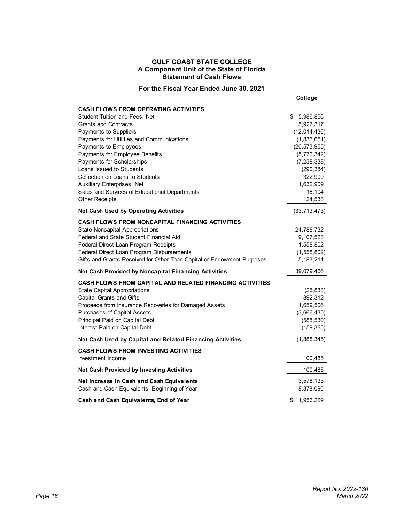#### **GULF COAST STATE COLLEGE A Component Unit of the State of Florida Statement of Cash Flows**

**For the Fiscal Year Ended June 30, 2021** 

<span id="page-21-0"></span>

|                                                                             | College             |
|-----------------------------------------------------------------------------|---------------------|
| <b>CASH FLOWS FROM OPERATING ACTIVITIES</b>                                 |                     |
| Student Tuition and Fees, Net                                               | \$<br>5,986,856     |
| <b>Grants and Contracts</b>                                                 | 5,927,317           |
| <b>Payments to Suppliers</b>                                                | (12,014,436)        |
| Payments for Utilities and Communications                                   | (1,836,651)         |
| Payments to Employees                                                       | (20, 573, 955)      |
| Payments for Employee Benefits                                              | (5,770,342)         |
| Payments for Scholarships                                                   | (7, 238, 338)       |
| Loans Issued to Students                                                    | (290, 384)          |
| Collection on Loans to Students                                             | 322,909             |
| Auxiliary Enterprises, Net<br>Sales and Services of Educational Departments | 1,632,909<br>16,104 |
| <b>Other Receipts</b>                                                       | 124,538             |
| <b>Net Cash Used by Operating Activities</b>                                | (33, 713, 473)      |
| CASH FLOWS FROM NONCAPITAL FINANCING ACTIVITIES                             |                     |
| <b>State Noncapital Appropriations</b>                                      | 24,788,732          |
| Federal and State Student Financial Aid                                     | 9,107,523           |
| Federal Direct Loan Program Receipts                                        | 1,558,802           |
| Federal Direct Loan Program Disbursements                                   | (1,558,802)         |
| Gifts and Grants Received for Other Than Capital or Endowment Purposes      | 5, 183, 211         |
| Net Cash Provided by Noncapital Financing Activities                        | 39,079,466          |
| <b>CASH FLOWS FROM CAPITAL AND RELATED FINANCING ACTIVITIES</b>             |                     |
| <b>State Capital Appropriations</b>                                         | (25, 833)           |
| Capital Grants and Gifts                                                    | 892,312             |
| Proceeds from Insurance Recoveries for Damaged Assets                       | 1,659,506           |
| Purchases of Capital Assets                                                 | (3,666,435)         |
| Principal Paid on Capital Debt                                              | (588, 530)          |
| Interest Paid on Capital Debt                                               | (159, 365)          |
| Net Cash Used by Capital and Related Financing Activities                   | (1,888,345)         |
| <b>CASH FLOWS FROM INVESTING ACTIVITIES</b>                                 |                     |
| Investment Income                                                           | 100,485             |
| Net Cash Provided by Investing Activities                                   | 100,485             |
| Net Increase in Cash and Cash Equivalents                                   | 3,578,133           |
| Cash and Cash Equivalents, Beginning of Year                                | 8,378,096           |
| Cash and Cash Equivalents, End of Year                                      | \$11,956,229        |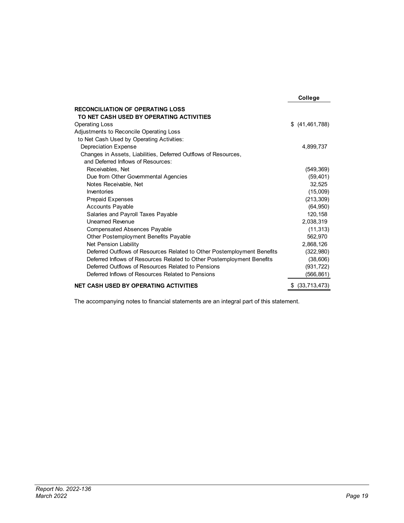|                                                                         | College              |
|-------------------------------------------------------------------------|----------------------|
| <b>RECONCILIATION OF OPERATING LOSS</b>                                 |                      |
| TO NET CASH USED BY OPERATING ACTIVITIES                                |                      |
| <b>Operating Loss</b>                                                   | \$ (41, 461, 788)    |
| Adjustments to Reconcile Operating Loss                                 |                      |
| to Net Cash Used by Operating Activities:                               |                      |
| <b>Depreciation Expense</b>                                             | 4,899,737            |
| Changes in Assets, Liabilities, Deferred Outflows of Resources,         |                      |
| and Deferred Inflows of Resources:                                      |                      |
| Receivables, Net                                                        | (549, 369)           |
| Due from Other Governmental Agencies                                    | (59, 401)            |
| Notes Receivable, Net                                                   | 32,525               |
| Inventories                                                             | (15,009)             |
| <b>Prepaid Expenses</b>                                                 | (213, 309)           |
| <b>Accounts Payable</b>                                                 | (64, 950)            |
| Salaries and Payroll Taxes Payable                                      | 120,158              |
| Unearned Revenue                                                        | 2,038,319            |
| <b>Compensated Absences Payable</b>                                     | (11, 313)            |
| Other Postemployment Benefits Payable                                   | 562.970              |
| Net Pension Liability                                                   | 2,868,126            |
| Deferred Outflows of Resources Related to Other Postemployment Benefits | (322, 980)           |
| Deferred Inflows of Resources Related to Other Postemployment Benefits  | (38, 606)            |
| Deferred Outflows of Resources Related to Pensions                      | (931, 722)           |
| Deferred Inflows of Resources Related to Pensions                       | (566,861)            |
| <b>NET CASH USED BY OPERATING ACTIVITIES</b>                            | (33, 713, 473)<br>\$ |

The accompanying notes to financial statements are an integral part of this statement.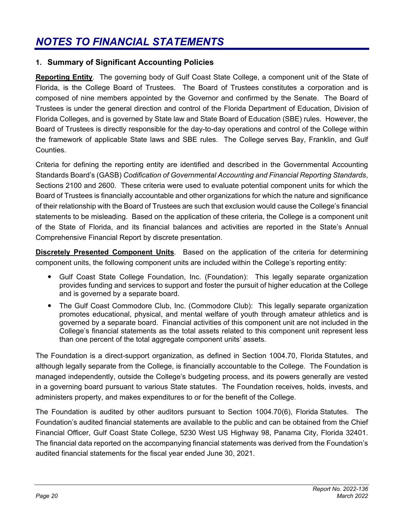# <span id="page-23-0"></span>*NOTES TO FINANCIAL STATEMENTS*

# **1. Summary of Significant Accounting Policies**

**Reporting Entity**. The governing body of Gulf Coast State College, a component unit of the State of Florida, is the College Board of Trustees. The Board of Trustees constitutes a corporation and is composed of nine members appointed by the Governor and confirmed by the Senate. The Board of Trustees is under the general direction and control of the Florida Department of Education, Division of Florida Colleges, and is governed by State law and State Board of Education (SBE) rules. However, the Board of Trustees is directly responsible for the day-to-day operations and control of the College within the framework of applicable State laws and SBE rules. The College serves Bay, Franklin, and Gulf Counties.

Criteria for defining the reporting entity are identified and described in the Governmental Accounting Standards Board's (GASB) *Codification of Governmental Accounting and Financial Reporting Standards*, Sections 2100 and 2600. These criteria were used to evaluate potential component units for which the Board of Trustees is financially accountable and other organizations for which the nature and significance of their relationship with the Board of Trustees are such that exclusion would cause the College's financial statements to be misleading. Based on the application of these criteria, the College is a component unit of the State of Florida, and its financial balances and activities are reported in the State's Annual Comprehensive Financial Report by discrete presentation.

**Discretely Presented Component Units**. Based on the application of the criteria for determining component units, the following component units are included within the College's reporting entity:

- Gulf Coast State College Foundation, Inc. (Foundation): This legally separate organization provides funding and services to support and foster the pursuit of higher education at the College and is governed by a separate board.
- The Gulf Coast Commodore Club, Inc. (Commodore Club): This legally separate organization promotes educational, physical, and mental welfare of youth through amateur athletics and is governed by a separate board. Financial activities of this component unit are not included in the College's financial statements as the total assets related to this component unit represent less than one percent of the total aggregate component units' assets.

The Foundation is a direct-support organization, as defined in Section 1004.70, Florida Statutes, and although legally separate from the College, is financially accountable to the College. The Foundation is managed independently, outside the College's budgeting process, and its powers generally are vested in a governing board pursuant to various State statutes. The Foundation receives, holds, invests, and administers property, and makes expenditures to or for the benefit of the College.

The Foundation is audited by other auditors pursuant to Section 1004.70(6), Florida Statutes. The Foundation's audited financial statements are available to the public and can be obtained from the Chief Financial Officer, Gulf Coast State College, 5230 West US Highway 98, Panama City, Florida 32401. The financial data reported on the accompanying financial statements was derived from the Foundation's audited financial statements for the fiscal year ended June 30, 2021.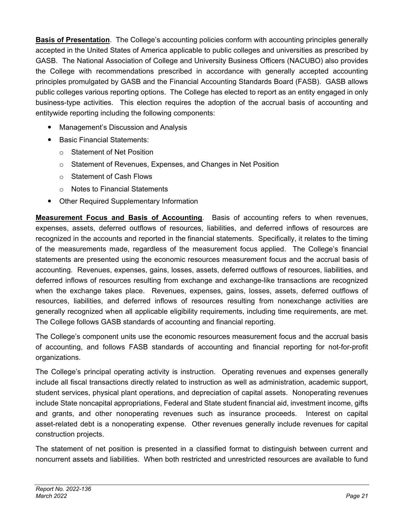**Basis of Presentation**. The College's accounting policies conform with accounting principles generally accepted in the United States of America applicable to public colleges and universities as prescribed by GASB. The National Association of College and University Business Officers (NACUBO) also provides the College with recommendations prescribed in accordance with generally accepted accounting principles promulgated by GASB and the Financial Accounting Standards Board (FASB). GASB allows public colleges various reporting options. The College has elected to report as an entity engaged in only business-type activities. This election requires the adoption of the accrual basis of accounting and entitywide reporting including the following components:

- Management's Discussion and Analysis
- Basic Financial Statements:
	- o Statement of Net Position
	- o Statement of Revenues, Expenses, and Changes in Net Position
	- o Statement of Cash Flows
	- o Notes to Financial Statements
- Other Required Supplementary Information

**Measurement Focus and Basis of Accounting**. Basis of accounting refers to when revenues, expenses, assets, deferred outflows of resources, liabilities, and deferred inflows of resources are recognized in the accounts and reported in the financial statements. Specifically, it relates to the timing of the measurements made, regardless of the measurement focus applied. The College's financial statements are presented using the economic resources measurement focus and the accrual basis of accounting. Revenues, expenses, gains, losses, assets, deferred outflows of resources, liabilities, and deferred inflows of resources resulting from exchange and exchange-like transactions are recognized when the exchange takes place. Revenues, expenses, gains, losses, assets, deferred outflows of resources, liabilities, and deferred inflows of resources resulting from nonexchange activities are generally recognized when all applicable eligibility requirements, including time requirements, are met. The College follows GASB standards of accounting and financial reporting.

The College's component units use the economic resources measurement focus and the accrual basis of accounting, and follows FASB standards of accounting and financial reporting for not-for-profit organizations.

The College's principal operating activity is instruction. Operating revenues and expenses generally include all fiscal transactions directly related to instruction as well as administration, academic support, student services, physical plant operations, and depreciation of capital assets. Nonoperating revenues include State noncapital appropriations, Federal and State student financial aid, investment income, gifts and grants, and other nonoperating revenues such as insurance proceeds. Interest on capital asset-related debt is a nonoperating expense. Other revenues generally include revenues for capital construction projects.

The statement of net position is presented in a classified format to distinguish between current and noncurrent assets and liabilities. When both restricted and unrestricted resources are available to fund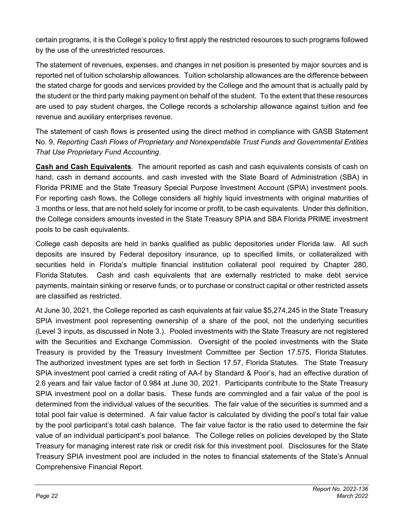certain programs, it is the College's policy to first apply the restricted resources to such programs followed by the use of the unrestricted resources.

The statement of revenues, expenses, and changes in net position is presented by major sources and is reported net of tuition scholarship allowances. Tuition scholarship allowances are the difference between the stated charge for goods and services provided by the College and the amount that is actually paid by the student or the third party making payment on behalf of the student. To the extent that these resources are used to pay student charges, the College records a scholarship allowance against tuition and fee revenue and auxiliary enterprises revenue.

The statement of cash flows is presented using the direct method in compliance with GASB Statement No. 9, *Reporting Cash Flows of Proprietary and Nonexpendable Trust Funds and Governmental Entities That Use Proprietary Fund Accounting*.

**Cash and Cash Equivalents**. The amount reported as cash and cash equivalents consists of cash on hand, cash in demand accounts, and cash invested with the State Board of Administration (SBA) in Florida PRIME and the State Treasury Special Purpose Investment Account (SPIA) investment pools. For reporting cash flows, the College considers all highly liquid investments with original maturities of 3 months or less, that are not held solely for income or profit, to be cash equivalents. Under this definition, the College considers amounts invested in the State Treasury SPIA and SBA Florida PRIME investment pools to be cash equivalents.

College cash deposits are held in banks qualified as public depositories under Florida law. All such deposits are insured by Federal depository insurance, up to specified limits, or collateralized with securities held in Florida's multiple financial institution collateral pool required by Chapter 280, Florida Statutes. Cash and cash equivalents that are externally restricted to make debt service payments, maintain sinking or reserve funds, or to purchase or construct capital or other restricted assets are classified as restricted.

At June 30, 2021, the College reported as cash equivalents at fair value \$5,274,245 in the State Treasury SPIA investment pool representing ownership of a share of the pool, not the underlying securities (Level 3 inputs, as discussed in Note 3.). Pooled investments with the State Treasury are not registered with the Securities and Exchange Commission. Oversight of the pooled investments with the State Treasury is provided by the Treasury Investment Committee per Section 17.575, Florida Statutes. The authorized investment types are set forth in Section 17.57, Florida Statutes. The State Treasury SPIA investment pool carried a credit rating of AA-f by Standard & Poor's, had an effective duration of 2.6 years and fair value factor of 0.984 at June 30, 2021. Participants contribute to the State Treasury SPIA investment pool on a dollar basis. These funds are commingled and a fair value of the pool is determined from the individual values of the securities. The fair value of the securities is summed and a total pool fair value is determined. A fair value factor is calculated by dividing the pool's total fair value by the pool participant's total cash balance. The fair value factor is the ratio used to determine the fair value of an individual participant's pool balance. The College relies on policies developed by the State Treasury for managing interest rate risk or credit risk for this investment pool. Disclosures for the State Treasury SPIA investment pool are included in the notes to financial statements of the State's Annual Comprehensive Financial Report.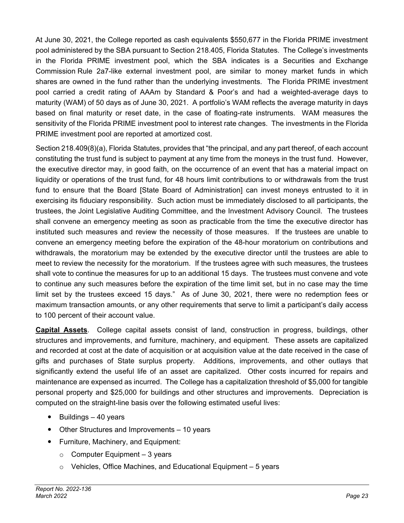At June 30, 2021, the College reported as cash equivalents \$550,677 in the Florida PRIME investment pool administered by the SBA pursuant to Section 218.405, Florida Statutes. The College's investments in the Florida PRIME investment pool, which the SBA indicates is a Securities and Exchange Commission Rule 2a7-like external investment pool, are similar to money market funds in which shares are owned in the fund rather than the underlying investments. The Florida PRIME investment pool carried a credit rating of AAAm by Standard & Poor's and had a weighted-average days to maturity (WAM) of 50 days as of June 30, 2021. A portfolio's WAM reflects the average maturity in days based on final maturity or reset date, in the case of floating-rate instruments. WAM measures the sensitivity of the Florida PRIME investment pool to interest rate changes. The investments in the Florida PRIME investment pool are reported at amortized cost.

Section 218.409(8)(a), Florida Statutes, provides that "the principal, and any part thereof, of each account constituting the trust fund is subject to payment at any time from the moneys in the trust fund. However, the executive director may, in good faith, on the occurrence of an event that has a material impact on liquidity or operations of the trust fund, for 48 hours limit contributions to or withdrawals from the trust fund to ensure that the Board [State Board of Administration] can invest moneys entrusted to it in exercising its fiduciary responsibility. Such action must be immediately disclosed to all participants, the trustees, the Joint Legislative Auditing Committee, and the Investment Advisory Council. The trustees shall convene an emergency meeting as soon as practicable from the time the executive director has instituted such measures and review the necessity of those measures. If the trustees are unable to convene an emergency meeting before the expiration of the 48-hour moratorium on contributions and withdrawals, the moratorium may be extended by the executive director until the trustees are able to meet to review the necessity for the moratorium. If the trustees agree with such measures, the trustees shall vote to continue the measures for up to an additional 15 days. The trustees must convene and vote to continue any such measures before the expiration of the time limit set, but in no case may the time limit set by the trustees exceed 15 days." As of June 30, 2021, there were no redemption fees or maximum transaction amounts, or any other requirements that serve to limit a participant's daily access to 100 percent of their account value.

**Capital Assets**. College capital assets consist of land, construction in progress, buildings, other structures and improvements, and furniture, machinery, and equipment. These assets are capitalized and recorded at cost at the date of acquisition or at acquisition value at the date received in the case of gifts and purchases of State surplus property. Additions, improvements, and other outlays that significantly extend the useful life of an asset are capitalized. Other costs incurred for repairs and maintenance are expensed as incurred. The College has a capitalization threshold of \$5,000 for tangible personal property and \$25,000 for buildings and other structures and improvements. Depreciation is computed on the straight-line basis over the following estimated useful lives:

- $\bullet$  Buildings  $-40$  years
- Other Structures and Improvements 10 years
- Furniture, Machinery, and Equipment:
	- $\circ$  Computer Equipment 3 years
	- $\circ$  Vehicles, Office Machines, and Educational Equipment 5 years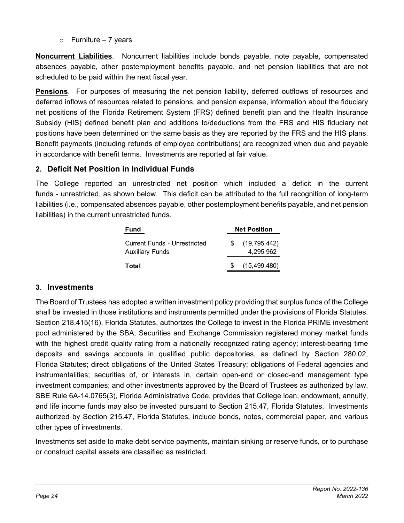# $\circ$  Furniture – 7 years

**Noncurrent Liabilities**. Noncurrent liabilities include bonds payable, note payable, compensated absences payable, other postemployment benefits payable, and net pension liabilities that are not scheduled to be paid within the next fiscal year.

**Pensions**. For purposes of measuring the net pension liability, deferred outflows of resources and deferred inflows of resources related to pensions, and pension expense, information about the fiduciary net positions of the Florida Retirement System (FRS) defined benefit plan and the Health Insurance Subsidy (HIS) defined benefit plan and additions to/deductions from the FRS and HIS fiduciary net positions have been determined on the same basis as they are reported by the FRS and the HIS plans. Benefit payments (including refunds of employee contributions) are recognized when due and payable in accordance with benefit terms. Investments are reported at fair value.

# **2. Deficit Net Position in Individual Funds**

The College reported an unrestricted net position which included a deficit in the current funds - unrestricted, as shown below. This deficit can be attributed to the full recognition of long-term liabilities (i.e., compensated absences payable, other postemployment benefits payable, and net pension liabilities) in the current unrestricted funds.

| Fund                                                   | <b>Net Position</b> |                             |  |  |
|--------------------------------------------------------|---------------------|-----------------------------|--|--|
| Current Funds - Unrestricted<br><b>Auxiliary Funds</b> |                     | (19, 795, 442)<br>4,295,962 |  |  |
| Total                                                  |                     | (15, 499, 480)              |  |  |

# **3. Investments**

The Board of Trustees has adopted a written investment policy providing that surplus funds of the College shall be invested in those institutions and instruments permitted under the provisions of Florida Statutes. Section 218.415(16), Florida Statutes, authorizes the College to invest in the Florida PRIME investment pool administered by the SBA; Securities and Exchange Commission registered money market funds with the highest credit quality rating from a nationally recognized rating agency; interest-bearing time deposits and savings accounts in qualified public depositories, as defined by Section 280.02, Florida Statutes; direct obligations of the United States Treasury; obligations of Federal agencies and instrumentalities; securities of, or interests in, certain open-end or closed-end management type investment companies; and other investments approved by the Board of Trustees as authorized by law. SBE Rule 6A-14.0765(3), Florida Administrative Code, provides that College loan, endowment, annuity, and life income funds may also be invested pursuant to Section 215.47, Florida Statutes. Investments authorized by Section 215.47, Florida Statutes, include bonds, notes, commercial paper, and various other types of investments.

Investments set aside to make debt service payments, maintain sinking or reserve funds, or to purchase or construct capital assets are classified as restricted.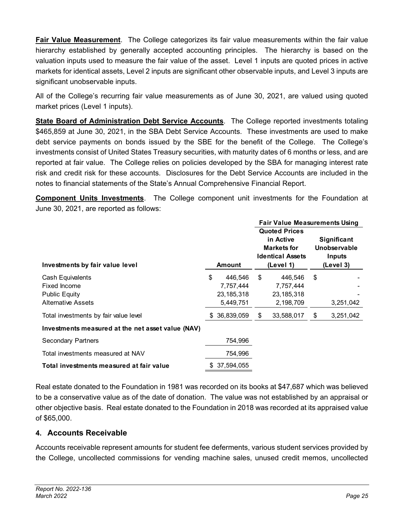**Fair Value Measurement**. The College categorizes its fair value measurements within the fair value hierarchy established by generally accepted accounting principles. The hierarchy is based on the valuation inputs used to measure the fair value of the asset. Level 1 inputs are quoted prices in active markets for identical assets, Level 2 inputs are significant other observable inputs, and Level 3 inputs are significant unobservable inputs.

All of the College's recurring fair value measurements as of June 30, 2021, are valued using quoted market prices (Level 1 inputs).

**State Board of Administration Debt Service Accounts**. The College reported investments totaling \$465,859 at June 30, 2021, in the SBA Debt Service Accounts. These investments are used to make debt service payments on bonds issued by the SBE for the benefit of the College. The College's investments consist of United States Treasury securities, with maturity dates of 6 months or less, and are reported at fair value. The College relies on policies developed by the SBA for managing interest rate risk and credit risk for these accounts. Disclosures for the Debt Service Accounts are included in the notes to financial statements of the State's Annual Comprehensive Financial Report.

**Component Units Investments**. The College component unit investments for the Foundation at June 30, 2021, are reported as follows:

| Investments by fair value level                                                       |     | Amount                                            | <b>Fair Value Measurements Using</b><br><b>Quoted Prices</b><br>in Active<br><b>Markets for</b><br><b>Identical Assets</b><br>(Level 1) |      | Significant<br>Unobservable<br><b>Inputs</b><br>(Level 3) |
|---------------------------------------------------------------------------------------|-----|---------------------------------------------------|-----------------------------------------------------------------------------------------------------------------------------------------|------|-----------------------------------------------------------|
| Cash Equivalents<br>Fixed Income<br><b>Public Equity</b><br><b>Alternative Assets</b> | \$  | 446.546<br>7.757.444<br>23, 185, 318<br>5,449,751 | \$<br>446,546<br>7,757,444<br>23, 185, 318<br>2,198,709                                                                                 | - \$ | 3,251,042                                                 |
| Total investments by fair value level                                                 | \$. | 36,839,059                                        | \$<br>33,588,017                                                                                                                        | \$   | 3,251,042                                                 |
| Investments measured at the net asset value (NAV)                                     |     |                                                   |                                                                                                                                         |      |                                                           |
| <b>Secondary Partners</b>                                                             |     | 754,996                                           |                                                                                                                                         |      |                                                           |
| Total investments measured at NAV                                                     |     | 754,996                                           |                                                                                                                                         |      |                                                           |
| Total investments measured at fair value                                              |     | \$ 37,594,055                                     |                                                                                                                                         |      |                                                           |

Real estate donated to the Foundation in 1981 was recorded on its books at \$47,687 which was believed to be a conservative value as of the date of donation. The value was not established by an appraisal or other objective basis. Real estate donated to the Foundation in 2018 was recorded at its appraised value of \$65,000.

# **4. Accounts Receivable**

Accounts receivable represent amounts for student fee deferments, various student services provided by the College, uncollected commissions for vending machine sales, unused credit memos, uncollected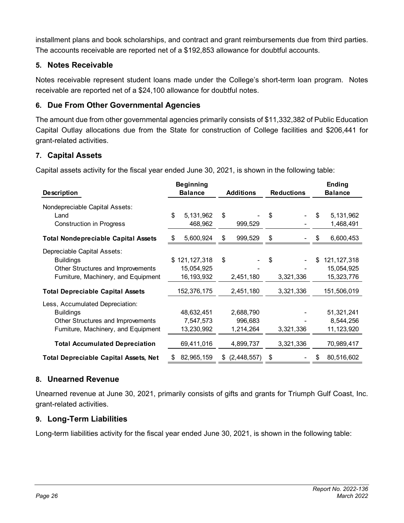installment plans and book scholarships, and contract and grant reimbursements due from third parties. The accounts receivable are reported net of a \$192,853 allowance for doubtful accounts.

# **5. Notes Receivable**

Notes receivable represent student loans made under the College's short-term loan program. Notes receivable are reported net of a \$24,100 allowance for doubtful notes.

# **6. Due From Other Governmental Agencies**

The amount due from other governmental agencies primarily consists of \$11,332,382 of Public Education Capital Outlay allocations due from the State for construction of College facilities and \$206,441 for grant-related activities.

# **7. Capital Assets**

Capital assets activity for the fiscal year ended June 30, 2021, is shown in the following table:

| <b>Description</b>                           | <b>Beginning</b><br><b>Balance</b> |               | <b>Additions</b> |                   |    |           | <b>Reductions</b>   |  |  |  | Ending<br><b>Balance</b> |
|----------------------------------------------|------------------------------------|---------------|------------------|-------------------|----|-----------|---------------------|--|--|--|--------------------------|
| Nondepreciable Capital Assets:               |                                    |               |                  |                   |    |           |                     |  |  |  |                          |
| Land                                         | \$                                 | 5,131,962     | \$               |                   | \$ |           | \$<br>5,131,962     |  |  |  |                          |
| <b>Construction in Progress</b>              |                                    | 468,962       |                  | 999,529           |    |           | 1,468,491           |  |  |  |                          |
| <b>Total Nondepreciable Capital Assets</b>   | \$                                 | 5,600,924     | \$               | 999,529           | \$ |           | \$<br>6,600,453     |  |  |  |                          |
| Depreciable Capital Assets:                  |                                    |               |                  |                   |    |           |                     |  |  |  |                          |
| <b>Buildings</b>                             |                                    | \$121,127,318 | \$               |                   | \$ |           | \$<br>121, 127, 318 |  |  |  |                          |
| Other Structures and Improvements            |                                    | 15,054,925    |                  |                   |    |           | 15,054,925          |  |  |  |                          |
| Furniture, Machinery, and Equipment          |                                    | 16, 193, 932  |                  | 2,451,180         |    | 3,321,336 | 15,323,776          |  |  |  |                          |
| <b>Total Depreciable Capital Assets</b>      |                                    | 152,376,175   |                  | 2,451,180         |    | 3,321,336 | 151,506,019         |  |  |  |                          |
| Less, Accumulated Depreciation:              |                                    |               |                  |                   |    |           |                     |  |  |  |                          |
| <b>Buildings</b>                             |                                    | 48,632,451    |                  | 2,688,790         |    |           | 51,321,241          |  |  |  |                          |
| Other Structures and Improvements            |                                    | 7,547,573     |                  | 996,683           |    |           | 8,544,256           |  |  |  |                          |
| Furniture, Machinery, and Equipment          |                                    | 13,230,992    |                  | 1,214,264         |    | 3,321,336 | 11,123,920          |  |  |  |                          |
| <b>Total Accumulated Depreciation</b>        |                                    | 69,411,016    |                  | 4,899,737         |    | 3,321,336 | 70,989,417          |  |  |  |                          |
| <b>Total Depreciable Capital Assets, Net</b> | \$                                 | 82,965,159    |                  | $$$ $(2,448,557)$ | \$ |           | \$<br>80,516,602    |  |  |  |                          |

# **8. Unearned Revenue**

Unearned revenue at June 30, 2021, primarily consists of gifts and grants for Triumph Gulf Coast, Inc. grant-related activities.

# **9. Long-Term Liabilities**

Long-term liabilities activity for the fiscal year ended June 30, 2021, is shown in the following table: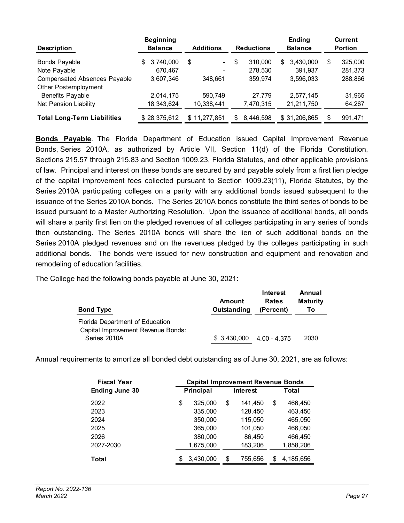| <b>Description</b>                  | <b>Beginning</b><br><b>Balance</b> | <b>Additions</b> | <b>Reductions</b> | <b>Ending</b><br><b>Balance</b> | <b>Current</b><br><b>Portion</b> |
|-------------------------------------|------------------------------------|------------------|-------------------|---------------------------------|----------------------------------|
|                                     |                                    |                  |                   |                                 |                                  |
| <b>Bonds Payable</b>                | 3,740,000                          | \$<br>۰.         | \$<br>310,000     | 3.430.000<br>S                  | \$<br>325,000                    |
| Note Payable                        | 670,467                            | ۰                | 278,530           | 391,937                         | 281,373                          |
| <b>Compensated Absences Payable</b> | 3.607.346                          | 348.661          | 359.974           | 3,596,033                       | 288,866                          |
| <b>Other Postemployment</b>         |                                    |                  |                   |                                 |                                  |
| <b>Benefits Payable</b>             | 2.014.175                          | 590.749          | 27.779            | 2,577,145                       | 31,965                           |
| Net Pension Liability               | 18,343,624                         | 10,338,441       | 7,470,315         | 21,211,750                      | 64,267                           |
| <b>Total Long-Term Liabilities</b>  | \$28,375,612                       | \$11.277.851     | 8.446.598<br>\$.  | \$31,206,865                    | \$<br>991,471                    |

**Bonds Payable**. The Florida Department of Education issued Capital Improvement Revenue Bonds, Series 2010A, as authorized by Article VII, Section 11(d) of the Florida Constitution, Sections 215.57 through 215.83 and Section 1009.23, Florida Statutes, and other applicable provisions of law. Principal and interest on these bonds are secured by and payable solely from a first lien pledge of the capital improvement fees collected pursuant to Section 1009.23(11), Florida Statutes, by the Series 2010A participating colleges on a parity with any additional bonds issued subsequent to the issuance of the Series 2010A bonds. The Series 2010A bonds constitute the third series of bonds to be issued pursuant to a Master Authorizing Resolution. Upon the issuance of additional bonds, all bonds will share a parity first lien on the pledged revenues of all colleges participating in any series of bonds then outstanding. The Series 2010A bonds will share the lien of such additional bonds on the Series 2010A pledged revenues and on the revenues pledged by the colleges participating in such additional bonds. The bonds were issued for new construction and equipment and renovation and remodeling of education facilities.

The College had the following bonds payable at June 30, 2021:

| <b>Bond Type</b>                                                                      | Amount<br>Outstanding     | Interest<br><b>Rates</b><br>(Percent) | Annual<br><b>Maturity</b><br>Τo |
|---------------------------------------------------------------------------------------|---------------------------|---------------------------------------|---------------------------------|
| Florida Department of Education<br>Capital Improvement Revenue Bonds:<br>Series 2010A | $$3,430,000$ 4.00 - 4.375 |                                       | 2030                            |

Annual requirements to amortize all bonded debt outstanding as of June 30, 2021, are as follows:

| <b>Fiscal Year</b>    | <b>Capital Improvement Revenue Bonds</b> |           |    |          |    |           |  |
|-----------------------|------------------------------------------|-----------|----|----------|----|-----------|--|
| <b>Ending June 30</b> |                                          | Principal |    | Interest |    | Total     |  |
| 2022                  | \$                                       | 325,000   | \$ | 141,450  | \$ | 466,450   |  |
| 2023                  |                                          | 335,000   |    | 128,450  |    | 463,450   |  |
| 2024                  |                                          | 350,000   |    | 115,050  |    | 465,050   |  |
| 2025                  |                                          | 365,000   |    | 101,050  |    | 466,050   |  |
| 2026                  |                                          | 380,000   |    | 86,450   |    | 466,450   |  |
| 2027-2030             |                                          | 1,675,000 |    | 183,206  |    | 1,858,206 |  |
| Total                 | \$                                       | 3,430,000 | \$ | 755,656  | S. | 4,185,656 |  |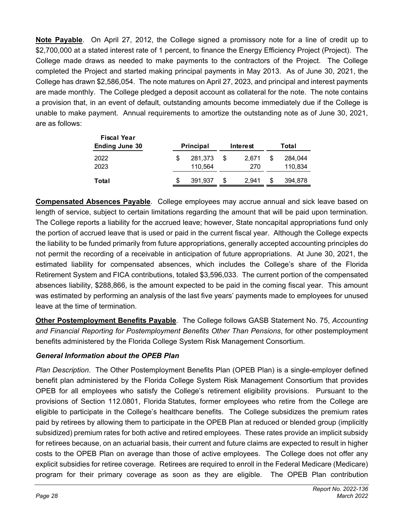**Note Payable**. On April 27, 2012, the College signed a promissory note for a line of credit up to \$2,700,000 at a stated interest rate of 1 percent, to finance the Energy Efficiency Project (Project). The College made draws as needed to make payments to the contractors of the Project. The College completed the Project and started making principal payments in May 2013. As of June 30, 2021, the College has drawn \$2,586,054. The note matures on April 27, 2023, and principal and interest payments are made monthly. The College pledged a deposit account as collateral for the note. The note contains a provision that, in an event of default, outstanding amounts become immediately due if the College is unable to make payment. Annual requirements to amortize the outstanding note as of June 30, 2021, are as follows:

| <b>Fiscal Year</b><br><b>Ending June 30</b> |   | Principal          |     | Interest     | Total              |
|---------------------------------------------|---|--------------------|-----|--------------|--------------------|
| 2022<br>2023                                | S | 281,373<br>110.564 | \$. | 2.671<br>270 | 284.044<br>110,834 |
| Total                                       |   | 391,937            | S   | 2.941        | 394,878            |

**Compensated Absences Payable**. College employees may accrue annual and sick leave based on length of service, subject to certain limitations regarding the amount that will be paid upon termination. The College reports a liability for the accrued leave; however, State noncapital appropriations fund only the portion of accrued leave that is used or paid in the current fiscal year. Although the College expects the liability to be funded primarily from future appropriations, generally accepted accounting principles do not permit the recording of a receivable in anticipation of future appropriations. At June 30, 2021, the estimated liability for compensated absences, which includes the College's share of the Florida Retirement System and FICA contributions, totaled \$3,596,033. The current portion of the compensated absences liability, \$288,866, is the amount expected to be paid in the coming fiscal year. This amount was estimated by performing an analysis of the last five years' payments made to employees for unused leave at the time of termination.

**Other Postemployment Benefits Payable**. The College follows GASB Statement No. 75, *Accounting and Financial Reporting for Postemployment Benefits Other Than Pensions*, for other postemployment benefits administered by the Florida College System Risk Management Consortium.

# *General Information about the OPEB Plan*

*Plan Description*. The Other Postemployment Benefits Plan (OPEB Plan) is a single-employer defined benefit plan administered by the Florida College System Risk Management Consortium that provides OPEB for all employees who satisfy the College's retirement eligibility provisions. Pursuant to the provisions of Section 112.0801, Florida Statutes, former employees who retire from the College are eligible to participate in the College's healthcare benefits. The College subsidizes the premium rates paid by retirees by allowing them to participate in the OPEB Plan at reduced or blended group (implicitly subsidized) premium rates for both active and retired employees. These rates provide an implicit subsidy for retirees because, on an actuarial basis, their current and future claims are expected to result in higher costs to the OPEB Plan on average than those of active employees. The College does not offer any explicit subsidies for retiree coverage. Retirees are required to enroll in the Federal Medicare (Medicare) program for their primary coverage as soon as they are eligible. The OPEB Plan contribution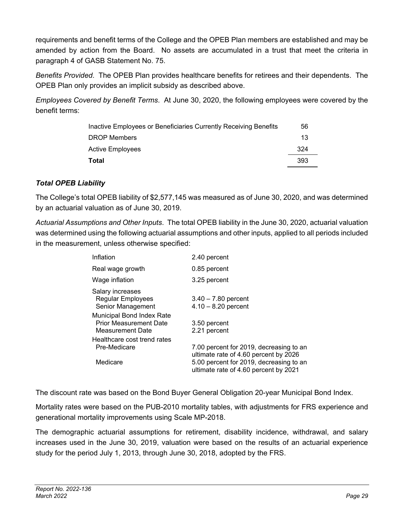requirements and benefit terms of the College and the OPEB Plan members are established and may be amended by action from the Board. No assets are accumulated in a trust that meet the criteria in paragraph 4 of GASB Statement No. 75.

*Benefits Provided*. The OPEB Plan provides healthcare benefits for retirees and their dependents. The OPEB Plan only provides an implicit subsidy as described above.

*Employees Covered by Benefit Terms*. At June 30, 2020, the following employees were covered by the benefit terms:

| Inactive Employees or Beneficiaries Currently Receiving Benefits | 56  |  |
|------------------------------------------------------------------|-----|--|
| <b>DROP Members</b>                                              | 13  |  |
| <b>Active Employees</b>                                          | 324 |  |
| Total                                                            | 393 |  |

# *Total OPEB Liability*

The College's total OPEB liability of \$2,577,145 was measured as of June 30, 2020, and was determined by an actuarial valuation as of June 30, 2019.

*Actuarial Assumptions and Other Inputs*. The total OPEB liability in the June 30, 2020, actuarial valuation was determined using the following actuarial assumptions and other inputs, applied to all periods included in the measurement, unless otherwise specified:

| Inflation                                                                             | 2.40 percent                                                                                                                                                         |
|---------------------------------------------------------------------------------------|----------------------------------------------------------------------------------------------------------------------------------------------------------------------|
| Real wage growth                                                                      | 0.85 percent                                                                                                                                                         |
| Wage inflation                                                                        | 3.25 percent                                                                                                                                                         |
| Salary increases<br><b>Regular Employees</b><br><b>Senior Management</b>              | $3.40 - 7.80$ percent<br>$4.10 - 8.20$ percent                                                                                                                       |
| <b>Municipal Bond Index Rate</b><br><b>Prior Measurement Date</b><br>Measurement Date | 3.50 percent<br>2.21 percent                                                                                                                                         |
| Healthcare cost trend rates                                                           |                                                                                                                                                                      |
| Pre-Medicare<br>Medicare                                                              | 7.00 percent for 2019, decreasing to an<br>ultimate rate of 4.60 percent by 2026<br>5.00 percent for 2019, decreasing to an<br>ultimate rate of 4.60 percent by 2021 |

The discount rate was based on the Bond Buyer General Obligation 20-year Municipal Bond Index.

Mortality rates were based on the PUB-2010 mortality tables, with adjustments for FRS experience and generational mortality improvements using Scale MP-2018.

The demographic actuarial assumptions for retirement, disability incidence, withdrawal, and salary increases used in the June 30, 2019, valuation were based on the results of an actuarial experience study for the period July 1, 2013, through June 30, 2018, adopted by the FRS.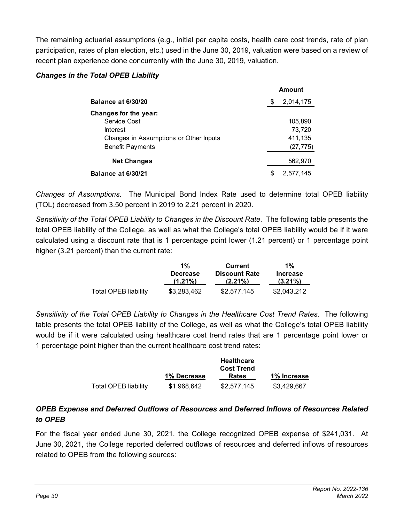The remaining actuarial assumptions (e.g., initial per capita costs, health care cost trends, rate of plan participation, rates of plan election, etc.) used in the June 30, 2019, valuation were based on a review of recent plan experience done concurrently with the June 30, 2019, valuation.

# *Changes in the Total OPEB Liability*

|                                        | Amount |           |
|----------------------------------------|--------|-----------|
| Balance at 6/30/20                     | \$     | 2,014,175 |
| Changes for the year:                  |        |           |
| Service Cost                           |        | 105,890   |
| Interest                               |        | 73.720    |
| Changes in Assumptions or Other Inputs |        | 411,135   |
| <b>Benefit Payments</b>                |        | (27, 775) |
| <b>Net Changes</b>                     |        | 562,970   |
| Balance at 6/30/21                     |        | 2,577,145 |

*Changes of Assumptions*. The Municipal Bond Index Rate used to determine total OPEB liability (TOL) decreased from 3.50 percent in 2019 to 2.21 percent in 2020.

*Sensitivity of the Total OPEB Liability to Changes in the Discount Rate*. The following table presents the total OPEB liability of the College, as well as what the College's total OPEB liability would be if it were calculated using a discount rate that is 1 percentage point lower (1.21 percent) or 1 percentage point higher (3.21 percent) than the current rate:

|                             | $1\%$           | Current              | 1%              |
|-----------------------------|-----------------|----------------------|-----------------|
|                             | <b>Decrease</b> | <b>Discount Rate</b> | <b>Increase</b> |
|                             | $(1.21\%)$      | $(2.21\%)$           | $(3.21\%)$      |
| <b>Total OPEB liability</b> | \$3,283,462     | \$2,577,145          | \$2.043.212     |

*Sensitivity of the Total OPEB Liability to Changes in the Healthcare Cost Trend Rates*. The following table presents the total OPEB liability of the College, as well as what the College's total OPEB liability would be if it were calculated using healthcare cost trend rates that are 1 percentage point lower or 1 percentage point higher than the current healthcare cost trend rates:

|                      |             | <b>Healthcare</b><br><b>Cost Trend</b> |             |
|----------------------|-------------|----------------------------------------|-------------|
|                      | 1% Decrease | <b>Rates</b>                           | 1% Increase |
| Total OPEB liability | \$1.968.642 | \$2,577,145                            | \$3,429,667 |

# *OPEB Expense and Deferred Outflows of Resources and Deferred Inflows of Resources Related to OPEB*

For the fiscal year ended June 30, 2021, the College recognized OPEB expense of \$241,031. At June 30, 2021, the College reported deferred outflows of resources and deferred inflows of resources related to OPEB from the following sources: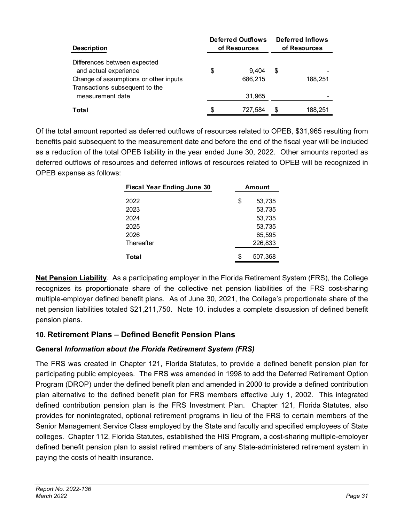| <b>Deferred Outflows</b><br>of Resources<br><b>Description</b>          |    | Deferred Inflows<br>of Resources |   |         |
|-------------------------------------------------------------------------|----|----------------------------------|---|---------|
| Differences between expected<br>and actual experience                   | \$ | 9.404                            | S |         |
| Change of assumptions or other inputs<br>Transactions subsequent to the |    | 686,215                          |   | 188,251 |
| measurement date                                                        |    | 31,965                           |   |         |
| Total                                                                   | \$ | 727,584                          | S | 188,251 |

Of the total amount reported as deferred outflows of resources related to OPEB, \$31,965 resulting from benefits paid subsequent to the measurement date and before the end of the fiscal year will be included as a reduction of the total OPEB liability in the year ended June 30, 2022. Other amounts reported as deferred outflows of resources and deferred inflows of resources related to OPEB will be recognized in OPEB expense as follows:

| <b>Fiscal Year Ending June 30</b> |    | Amount  |  |  |
|-----------------------------------|----|---------|--|--|
|                                   |    |         |  |  |
| 2022                              | \$ | 53,735  |  |  |
| 2023                              |    | 53,735  |  |  |
| 2024                              |    | 53,735  |  |  |
| 2025                              |    | 53,735  |  |  |
| 2026                              |    | 65,595  |  |  |
| Thereafter                        |    | 226,833 |  |  |
| Total                             | \$ | 507,368 |  |  |
|                                   |    |         |  |  |

**Net Pension Liability**. As a participating employer in the Florida Retirement System (FRS), the College recognizes its proportionate share of the collective net pension liabilities of the FRS cost-sharing multiple-employer defined benefit plans. As of June 30, 2021, the College's proportionate share of the net pension liabilities totaled \$21,211,750. Note 10. includes a complete discussion of defined benefit pension plans.

# **10. Retirement Plans – Defined Benefit Pension Plans**

# **General** *Information about the Florida Retirement System (FRS)*

The FRS was created in Chapter 121, Florida Statutes, to provide a defined benefit pension plan for participating public employees. The FRS was amended in 1998 to add the Deferred Retirement Option Program (DROP) under the defined benefit plan and amended in 2000 to provide a defined contribution plan alternative to the defined benefit plan for FRS members effective July 1, 2002. This integrated defined contribution pension plan is the FRS Investment Plan. Chapter 121, Florida Statutes, also provides for nonintegrated, optional retirement programs in lieu of the FRS to certain members of the Senior Management Service Class employed by the State and faculty and specified employees of State colleges. Chapter 112, Florida Statutes, established the HIS Program, a cost-sharing multiple-employer defined benefit pension plan to assist retired members of any State-administered retirement system in paying the costs of health insurance.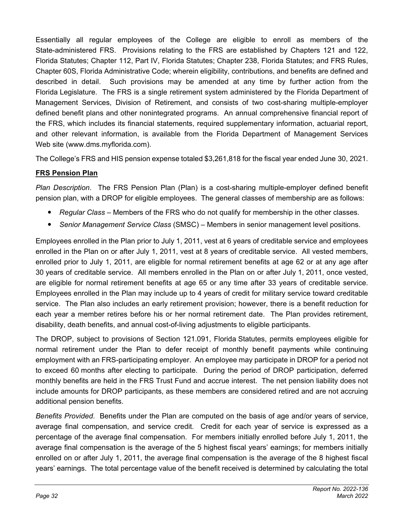Essentially all regular employees of the College are eligible to enroll as members of the State-administered FRS. Provisions relating to the FRS are established by Chapters 121 and 122, Florida Statutes; Chapter 112, Part IV, Florida Statutes; Chapter 238, Florida Statutes; and FRS Rules, Chapter 60S, Florida Administrative Code; wherein eligibility, contributions, and benefits are defined and described in detail. Such provisions may be amended at any time by further action from the Florida Legislature. The FRS is a single retirement system administered by the Florida Department of Management Services, Division of Retirement, and consists of two cost-sharing multiple-employer defined benefit plans and other nonintegrated programs. An annual comprehensive financial report of the FRS, which includes its financial statements, required supplementary information, actuarial report, and other relevant information, is available from the Florida Department of Management Services Web site (www.dms.myflorida.com).

The College's FRS and HIS pension expense totaled \$3,261,818 for the fiscal year ended June 30, 2021.

# **FRS Pension Plan**

*Plan Description*. The FRS Pension Plan (Plan) is a cost-sharing multiple-employer defined benefit pension plan, with a DROP for eligible employees. The general classes of membership are as follows:

- *Regular Class* Members of the FRS who do not qualify for membership in the other classes.
- *Senior Management Service Class* (SMSC) Members in senior management level positions.

Employees enrolled in the Plan prior to July 1, 2011, vest at 6 years of creditable service and employees enrolled in the Plan on or after July 1, 2011, vest at 8 years of creditable service. All vested members, enrolled prior to July 1, 2011, are eligible for normal retirement benefits at age 62 or at any age after 30 years of creditable service. All members enrolled in the Plan on or after July 1, 2011, once vested, are eligible for normal retirement benefits at age 65 or any time after 33 years of creditable service. Employees enrolled in the Plan may include up to 4 years of credit for military service toward creditable service. The Plan also includes an early retirement provision; however, there is a benefit reduction for each year a member retires before his or her normal retirement date. The Plan provides retirement, disability, death benefits, and annual cost-of-living adjustments to eligible participants.

The DROP, subject to provisions of Section 121.091, Florida Statutes, permits employees eligible for normal retirement under the Plan to defer receipt of monthly benefit payments while continuing employment with an FRS-participating employer. An employee may participate in DROP for a period not to exceed 60 months after electing to participate. During the period of DROP participation, deferred monthly benefits are held in the FRS Trust Fund and accrue interest. The net pension liability does not include amounts for DROP participants, as these members are considered retired and are not accruing additional pension benefits.

*Benefits Provided*. Benefits under the Plan are computed on the basis of age and/or years of service, average final compensation, and service credit. Credit for each year of service is expressed as a percentage of the average final compensation. For members initially enrolled before July 1, 2011, the average final compensation is the average of the 5 highest fiscal years' earnings; for members initially enrolled on or after July 1, 2011, the average final compensation is the average of the 8 highest fiscal years' earnings. The total percentage value of the benefit received is determined by calculating the total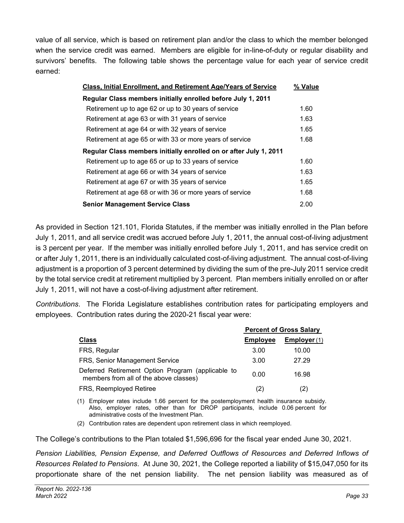value of all service, which is based on retirement plan and/or the class to which the member belonged when the service credit was earned. Members are eligible for in-line-of-duty or regular disability and survivors' benefits. The following table shows the percentage value for each year of service credit earned:

| Class, Initial Enrollment, and Retirement Age/Years of Service    | % Value |
|-------------------------------------------------------------------|---------|
| Regular Class members initially enrolled before July 1, 2011      |         |
| Retirement up to age 62 or up to 30 years of service              | 1.60    |
| Retirement at age 63 or with 31 years of service                  | 1.63    |
| Retirement at age 64 or with 32 years of service                  | 1.65    |
| Retirement at age 65 or with 33 or more years of service          | 1.68    |
| Regular Class members initially enrolled on or after July 1, 2011 |         |
| Retirement up to age 65 or up to 33 years of service              | 1.60    |
| Retirement at age 66 or with 34 years of service                  | 1.63    |
| Retirement at age 67 or with 35 years of service                  | 1.65    |
| Retirement at age 68 or with 36 or more years of service          | 1.68    |
| <b>Senior Management Service Class</b>                            | 2.00    |

As provided in Section 121.101, Florida Statutes, if the member was initially enrolled in the Plan before July 1, 2011, and all service credit was accrued before July 1, 2011, the annual cost-of-living adjustment is 3 percent per year. If the member was initially enrolled before July 1, 2011, and has service credit on or after July 1, 2011, there is an individually calculated cost-of-living adjustment. The annual cost-of-living adjustment is a proportion of 3 percent determined by dividing the sum of the pre-July 2011 service credit by the total service credit at retirement multiplied by 3 percent. Plan members initially enrolled on or after July 1, 2011, will not have a cost-of-living adjustment after retirement.

*Contributions*. The Florida Legislature establishes contribution rates for participating employers and employees. Contribution rates during the 2020-21 fiscal year were:

|                                                                                             | <b>Percent of Gross Salary</b> |             |  |
|---------------------------------------------------------------------------------------------|--------------------------------|-------------|--|
| <b>Class</b>                                                                                | <b>Employee</b>                | Emplover(1) |  |
| FRS, Regular                                                                                | 3.00                           | 10.00       |  |
| FRS, Senior Management Service                                                              | 3.00                           | 27.29       |  |
| Deferred Retirement Option Program (applicable to<br>members from all of the above classes) | 0.00                           | 16.98       |  |
| FRS, Reemployed Retiree                                                                     | (2)                            | (2)         |  |

(1) Employer rates include 1.66 percent for the postemployment health insurance subsidy. Also, employer rates, other than for DROP participants, include 0.06 percent for administrative costs of the Investment Plan.

(2) Contribution rates are dependent upon retirement class in which reemployed.

The College's contributions to the Plan totaled \$1,596,696 for the fiscal year ended June 30, 2021.

*Pension Liabilities, Pension Expense, and Deferred Outflows of Resources and Deferred Inflows of Resources Related to Pensions*. At June 30, 2021, the College reported a liability of \$15,047,050 for its proportionate share of the net pension liability. The net pension liability was measured as of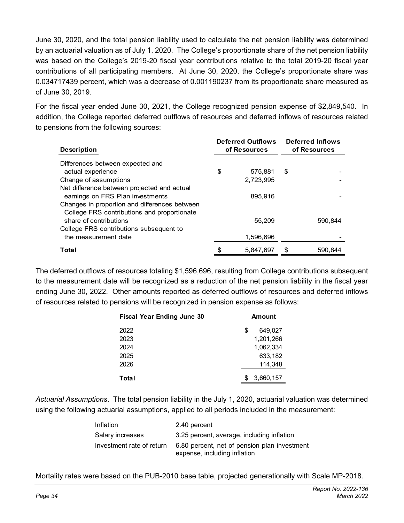June 30, 2020, and the total pension liability used to calculate the net pension liability was determined by an actuarial valuation as of July 1, 2020. The College's proportionate share of the net pension liability was based on the College's 2019-20 fiscal year contributions relative to the total 2019-20 fiscal year contributions of all participating members. At June 30, 2020, the College's proportionate share was 0.034717439 percent, which was a decrease of 0.001190237 from its proportionate share measured as of June 30, 2019.

For the fiscal year ended June 30, 2021, the College recognized pension expense of \$2,849,540. In addition, the College reported deferred outflows of resources and deferred inflows of resources related to pensions from the following sources:

| <b>Description</b>                            | <b>Deferred Outflows</b><br>of Resources |           | Deferred Inflows<br>of Resources |         |
|-----------------------------------------------|------------------------------------------|-----------|----------------------------------|---------|
| Differences between expected and              |                                          |           |                                  |         |
| actual experience                             | \$                                       | 575.881   | \$                               |         |
| Change of assumptions                         |                                          | 2,723,995 |                                  |         |
| Net difference between projected and actual   |                                          |           |                                  |         |
| earnings on FRS Plan investments              |                                          | 895.916   |                                  |         |
| Changes in proportion and differences between |                                          |           |                                  |         |
| College FRS contributions and proportionate   |                                          |           |                                  |         |
| share of contributions                        |                                          | 55,209    |                                  | 590.844 |
| College FRS contributions subsequent to       |                                          |           |                                  |         |
| the measurement date                          |                                          | 1,596,696 |                                  |         |
| Total                                         |                                          | 5,847,697 |                                  | 590.844 |

The deferred outflows of resources totaling \$1,596,696, resulting from College contributions subsequent to the measurement date will be recognized as a reduction of the net pension liability in the fiscal year ending June 30, 2022. Other amounts reported as deferred outflows of resources and deferred inflows of resources related to pensions will be recognized in pension expense as follows:

| <b>Fiscal Year Ending June 30</b> | Amount        |
|-----------------------------------|---------------|
| 2022                              | 649.027<br>\$ |
| 2023                              | 1,201,266     |
| 2024                              | 1,062,334     |
| 2025                              | 633,182       |
| 2026                              | 114,348       |
| Total                             | 3,660,157     |

*Actuarial Assumptions*. The total pension liability in the July 1, 2020, actuarial valuation was determined using the following actuarial assumptions, applied to all periods included in the measurement:

| Inflation                 | 2.40 percent                                                                 |
|---------------------------|------------------------------------------------------------------------------|
| Salary increases          | 3.25 percent, average, including inflation                                   |
| Investment rate of return | 6.80 percent, net of pension plan investment<br>expense, including inflation |

Mortality rates were based on the PUB-2010 base table, projected generationally with Scale MP-2018.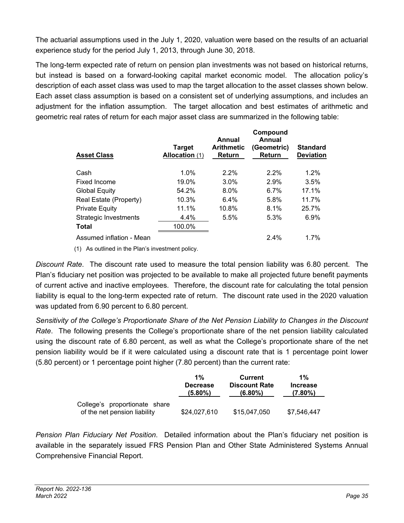The actuarial assumptions used in the July 1, 2020, valuation were based on the results of an actuarial experience study for the period July 1, 2013, through June 30, 2018.

The long-term expected rate of return on pension plan investments was not based on historical returns, but instead is based on a forward-looking capital market economic model. The allocation policy's description of each asset class was used to map the target allocation to the asset classes shown below. Each asset class assumption is based on a consistent set of underlying assumptions, and includes an adjustment for the inflation assumption. The target allocation and best estimates of arithmetic and geometric real rates of return for each major asset class are summarized in the following table:

| <b>Asset Class</b>           | <b>Target</b><br>Allocation (1) | Annual<br><b>Arithmetic</b><br>Return | Compound<br>Annual<br>(Geometric)<br>Return | <b>Standard</b><br><b>Deviation</b> |
|------------------------------|---------------------------------|---------------------------------------|---------------------------------------------|-------------------------------------|
| Cash                         | 1.0%                            | 2.2%                                  | 2.2%                                        | 1.2%                                |
| Fixed Income                 | 19.0%                           | 3.0%                                  | 2.9%                                        | 3.5%                                |
| <b>Global Equity</b>         | 54.2%                           | 8.0%                                  | 6.7%                                        | 17.1%                               |
| Real Estate (Property)       | 10.3%                           | 6.4%                                  | 5.8%                                        | 11.7%                               |
| <b>Private Equity</b>        | 11.1%                           | 10.8%                                 | 8.1%                                        | 25.7%                               |
| <b>Strategic Investments</b> | 4.4%                            | 5.5%                                  | 5.3%                                        | 6.9%                                |
| Total                        | 100.0%                          |                                       |                                             |                                     |
| Assumed inflation - Mean     |                                 |                                       | 2.4%                                        | 1.7%                                |

(1) As outlined in the Plan's investment policy.

*Discount Rate*. The discount rate used to measure the total pension liability was 6.80 percent. The Plan's fiduciary net position was projected to be available to make all projected future benefit payments of current active and inactive employees. Therefore, the discount rate for calculating the total pension liability is equal to the long-term expected rate of return. The discount rate used in the 2020 valuation was updated from 6.90 percent to 6.80 percent.

*Sensitivity of the College's Proportionate Share of the Net Pension Liability to Changes in the Discount Rate*. The following presents the College's proportionate share of the net pension liability calculated using the discount rate of 6.80 percent, as well as what the College's proportionate share of the net pension liability would be if it were calculated using a discount rate that is 1 percentage point lower (5.80 percent) or 1 percentage point higher (7.80 percent) than the current rate:

|                                                               | 1%              | <b>Current</b>       | $1\%$           |
|---------------------------------------------------------------|-----------------|----------------------|-----------------|
|                                                               | <b>Decrease</b> | <b>Discount Rate</b> | <b>Increase</b> |
|                                                               | $(5.80\%)$      | $(6.80\%)$           | $(7.80\%)$      |
| College's proportionate share<br>of the net pension liability | \$24,027,610    | \$15,047,050         | \$7,546,447     |

*Pension Plan Fiduciary Net Position*. Detailed information about the Plan's fiduciary net position is available in the separately issued FRS Pension Plan and Other State Administered Systems Annual Comprehensive Financial Report.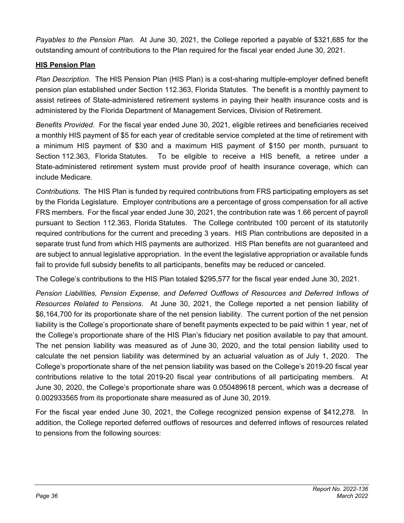*Payables to the Pension Plan*. At June 30, 2021, the College reported a payable of \$321,685 for the outstanding amount of contributions to the Plan required for the fiscal year ended June 30, 2021.

# **HIS Pension Plan**

*Plan Description*. The HIS Pension Plan (HIS Plan) is a cost-sharing multiple-employer defined benefit pension plan established under Section 112.363, Florida Statutes. The benefit is a monthly payment to assist retirees of State-administered retirement systems in paying their health insurance costs and is administered by the Florida Department of Management Services, Division of Retirement.

*Benefits Provided*. For the fiscal year ended June 30, 2021, eligible retirees and beneficiaries received a monthly HIS payment of \$5 for each year of creditable service completed at the time of retirement with a minimum HIS payment of \$30 and a maximum HIS payment of \$150 per month, pursuant to Section 112.363, Florida Statutes. To be eligible to receive a HIS benefit, a retiree under a State-administered retirement system must provide proof of health insurance coverage, which can include Medicare.

*Contributions*. The HIS Plan is funded by required contributions from FRS participating employers as set by the Florida Legislature. Employer contributions are a percentage of gross compensation for all active FRS members. For the fiscal year ended June 30, 2021, the contribution rate was 1.66 percent of payroll pursuant to Section 112.363, Florida Statutes. The College contributed 100 percent of its statutorily required contributions for the current and preceding 3 years. HIS Plan contributions are deposited in a separate trust fund from which HIS payments are authorized. HIS Plan benefits are not guaranteed and are subject to annual legislative appropriation. In the event the legislative appropriation or available funds fail to provide full subsidy benefits to all participants, benefits may be reduced or canceled.

The College's contributions to the HIS Plan totaled \$295,577 for the fiscal year ended June 30, 2021.

*Pension Liabilities, Pension Expense, and Deferred Outflows of Resources and Deferred Inflows of Resources Related to Pensions*. At June 30, 2021, the College reported a net pension liability of \$6,164,700 for its proportionate share of the net pension liability. The current portion of the net pension liability is the College's proportionate share of benefit payments expected to be paid within 1 year, net of the College's proportionate share of the HIS Plan's fiduciary net position available to pay that amount. The net pension liability was measured as of June 30, 2020, and the total pension liability used to calculate the net pension liability was determined by an actuarial valuation as of July 1, 2020. The College's proportionate share of the net pension liability was based on the College's 2019-20 fiscal year contributions relative to the total 2019-20 fiscal year contributions of all participating members. At June 30, 2020, the College's proportionate share was 0.050489618 percent, which was a decrease of 0.002933565 from its proportionate share measured as of June 30, 2019.

For the fiscal year ended June 30, 2021, the College recognized pension expense of \$412,278. In addition, the College reported deferred outflows of resources and deferred inflows of resources related to pensions from the following sources: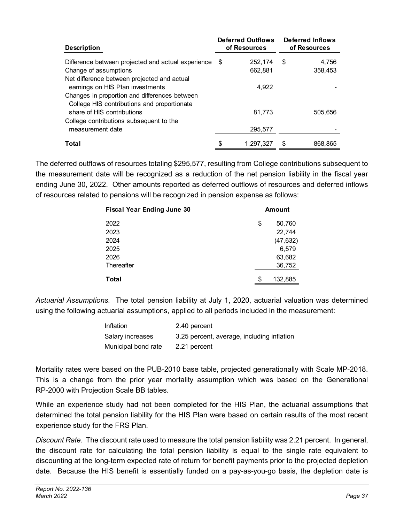| <b>Description</b>                                                                |    | <b>Deferred Outflows</b><br>of Resources | Deferred Inflows<br>of Resources |         |  |  |
|-----------------------------------------------------------------------------------|----|------------------------------------------|----------------------------------|---------|--|--|
| Difference between projected and actual experience \$                             |    | 252,174                                  | S                                | 4,756   |  |  |
| Change of assumptions<br>Net difference between projected and actual              |    | 662,881                                  |                                  | 358,453 |  |  |
| earnings on HIS Plan investments<br>Changes in proportion and differences between |    | 4.922                                    |                                  |         |  |  |
| College HIS contributions and proportionate<br>share of HIS contributions         |    | 81,773                                   |                                  | 505.656 |  |  |
| College contributions subsequent to the<br>measurement date                       |    | 295,577                                  |                                  |         |  |  |
| Total                                                                             | \$ | 1,297,327                                | S                                | 868.865 |  |  |

The deferred outflows of resources totaling \$295,577, resulting from College contributions subsequent to the measurement date will be recognized as a reduction of the net pension liability in the fiscal year ending June 30, 2022. Other amounts reported as deferred outflows of resources and deferred inflows of resources related to pensions will be recognized in pension expense as follows:

| <b>Fiscal Year Ending June 30</b> |    | <b>Amount</b>    |  |  |  |
|-----------------------------------|----|------------------|--|--|--|
| 2022<br>2023                      | \$ | 50,760<br>22,744 |  |  |  |
| 2024                              |    | (47, 632)        |  |  |  |
| 2025<br>2026                      |    | 6,579<br>63,682  |  |  |  |
| Thereafter                        | \$ | 36,752           |  |  |  |
| Total                             |    | 132,885          |  |  |  |

*Actuarial Assumptions.* The total pension liability at July 1, 2020, actuarial valuation was determined using the following actuarial assumptions, applied to all periods included in the measurement:

| Inflation           | 2.40 percent                               |
|---------------------|--------------------------------------------|
| Salary increases    | 3.25 percent, average, including inflation |
| Municipal bond rate | 2.21 percent                               |

Mortality rates were based on the PUB-2010 base table, projected generationally with Scale MP-2018. This is a change from the prior year mortality assumption which was based on the Generational RP-2000 with Projection Scale BB tables.

While an experience study had not been completed for the HIS Plan, the actuarial assumptions that determined the total pension liability for the HIS Plan were based on certain results of the most recent experience study for the FRS Plan.

*Discount Rate*. The discount rate used to measure the total pension liability was 2.21 percent. In general, the discount rate for calculating the total pension liability is equal to the single rate equivalent to discounting at the long-term expected rate of return for benefit payments prior to the projected depletion date. Because the HIS benefit is essentially funded on a pay-as-you-go basis, the depletion date is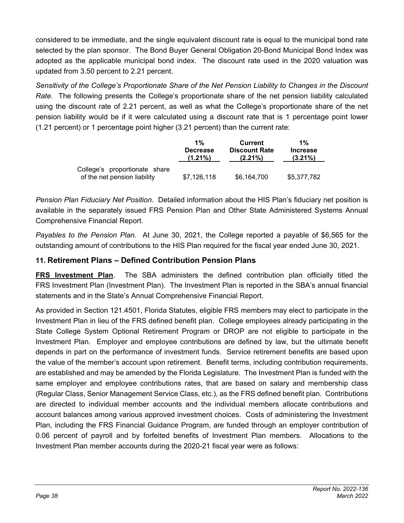considered to be immediate, and the single equivalent discount rate is equal to the municipal bond rate selected by the plan sponsor. The Bond Buyer General Obligation 20-Bond Municipal Bond Index was adopted as the applicable municipal bond index. The discount rate used in the 2020 valuation was updated from 3.50 percent to 2.21 percent.

*Sensitivity of the College's Proportionate Share of the Net Pension Liability to Changes in the Discount Rate*. The following presents the College's proportionate share of the net pension liability calculated using the discount rate of 2.21 percent, as well as what the College's proportionate share of the net pension liability would be if it were calculated using a discount rate that is 1 percentage point lower (1.21 percent) or 1 percentage point higher (3.21 percent) than the current rate:

|                                                               | $1\%$           | <b>Current</b>       | 1%              |
|---------------------------------------------------------------|-----------------|----------------------|-----------------|
|                                                               | <b>Decrease</b> | <b>Discount Rate</b> | <b>Increase</b> |
|                                                               | $(1.21\%)$      | $(2.21\%)$           | $(3.21\%)$      |
| College's proportionate share<br>of the net pension liability | \$7,126,118     | \$6,164,700          | \$5,377,782     |

*Pension Plan Fiduciary Net Position*. Detailed information about the HIS Plan's fiduciary net position is available in the separately issued FRS Pension Plan and Other State Administered Systems Annual Comprehensive Financial Report.

*Payables to the Pension Plan*. At June 30, 2021, the College reported a payable of \$6,565 for the outstanding amount of contributions to the HIS Plan required for the fiscal year ended June 30, 2021.

# **11. Retirement Plans – Defined Contribution Pension Plans**

**FRS Investment Plan**. The SBA administers the defined contribution plan officially titled the FRS Investment Plan (Investment Plan). The Investment Plan is reported in the SBA's annual financial statements and in the State's Annual Comprehensive Financial Report.

As provided in Section 121.4501, Florida Statutes, eligible FRS members may elect to participate in the Investment Plan in lieu of the FRS defined benefit plan. College employees already participating in the State College System Optional Retirement Program or DROP are not eligible to participate in the Investment Plan. Employer and employee contributions are defined by law, but the ultimate benefit depends in part on the performance of investment funds. Service retirement benefits are based upon the value of the member's account upon retirement. Benefit terms, including contribution requirements, are established and may be amended by the Florida Legislature. The Investment Plan is funded with the same employer and employee contributions rates, that are based on salary and membership class (Regular Class, Senior Management Service Class, etc.), as the FRS defined benefit plan. Contributions are directed to individual member accounts and the individual members allocate contributions and account balances among various approved investment choices. Costs of administering the Investment Plan, including the FRS Financial Guidance Program, are funded through an employer contribution of 0.06 percent of payroll and by forfeited benefits of Investment Plan members. Allocations to the Investment Plan member accounts during the 2020-21 fiscal year were as follows: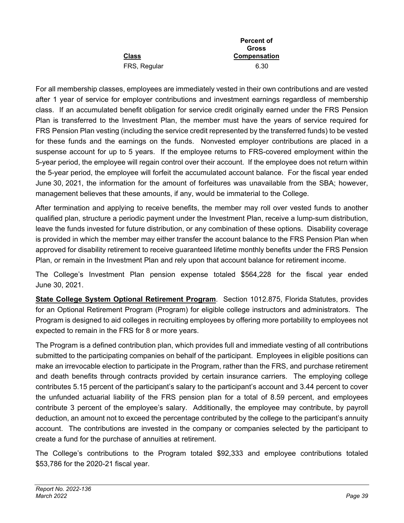|              | <b>Percent of</b> |
|--------------|-------------------|
|              | Gross             |
| <b>Class</b> | Compensation      |
| FRS, Regular | 6.30              |

For all membership classes, employees are immediately vested in their own contributions and are vested after 1 year of service for employer contributions and investment earnings regardless of membership class. If an accumulated benefit obligation for service credit originally earned under the FRS Pension Plan is transferred to the Investment Plan, the member must have the years of service required for FRS Pension Plan vesting (including the service credit represented by the transferred funds) to be vested for these funds and the earnings on the funds. Nonvested employer contributions are placed in a suspense account for up to 5 years. If the employee returns to FRS-covered employment within the 5-year period, the employee will regain control over their account. If the employee does not return within the 5-year period, the employee will forfeit the accumulated account balance. For the fiscal year ended June 30, 2021, the information for the amount of forfeitures was unavailable from the SBA; however, management believes that these amounts, if any, would be immaterial to the College.

After termination and applying to receive benefits, the member may roll over vested funds to another qualified plan, structure a periodic payment under the Investment Plan, receive a lump-sum distribution, leave the funds invested for future distribution, or any combination of these options. Disability coverage is provided in which the member may either transfer the account balance to the FRS Pension Plan when approved for disability retirement to receive guaranteed lifetime monthly benefits under the FRS Pension Plan, or remain in the Investment Plan and rely upon that account balance for retirement income.

The College's Investment Plan pension expense totaled \$564,228 for the fiscal year ended June 30, 2021.

**State College System Optional Retirement Program**. Section 1012.875, Florida Statutes, provides for an Optional Retirement Program (Program) for eligible college instructors and administrators. The Program is designed to aid colleges in recruiting employees by offering more portability to employees not expected to remain in the FRS for 8 or more years.

The Program is a defined contribution plan, which provides full and immediate vesting of all contributions submitted to the participating companies on behalf of the participant. Employees in eligible positions can make an irrevocable election to participate in the Program, rather than the FRS, and purchase retirement and death benefits through contracts provided by certain insurance carriers. The employing college contributes 5.15 percent of the participant's salary to the participant's account and 3.44 percent to cover the unfunded actuarial liability of the FRS pension plan for a total of 8.59 percent, and employees contribute 3 percent of the employee's salary. Additionally, the employee may contribute, by payroll deduction, an amount not to exceed the percentage contributed by the college to the participant's annuity account. The contributions are invested in the company or companies selected by the participant to create a fund for the purchase of annuities at retirement.

The College's contributions to the Program totaled \$92,333 and employee contributions totaled \$53,786 for the 2020-21 fiscal year.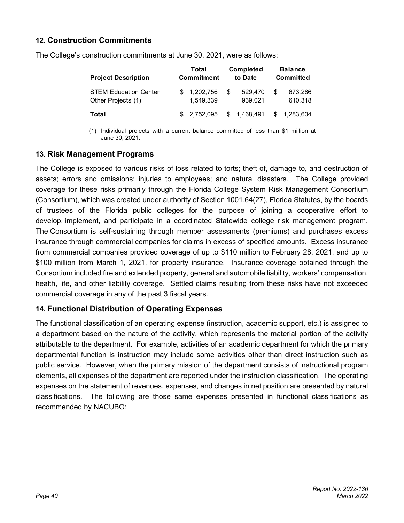# **12. Construction Commitments**

| <b>Project Description</b>                         | Total<br><b>Commitment</b> |   | <b>Completed</b><br>to Date |    | <b>Balance</b><br>Committed |
|----------------------------------------------------|----------------------------|---|-----------------------------|----|-----------------------------|
| <b>STEM Education Center</b><br>Other Projects (1) | 1,202,756<br>1,549,339     | S | 529,470<br>939,021          | \$ | 673,286<br>610,318          |
| Total                                              | 2,752,095                  | S | 1,468,491                   |    | 1,283,604                   |

The College's construction commitments at June 30, 2021, were as follows:

(1) Individual projects with a current balance committed of less than \$1 million at June 30, 2021.

# **13. Risk Management Programs**

The College is exposed to various risks of loss related to torts; theft of, damage to, and destruction of assets; errors and omissions; injuries to employees; and natural disasters. The College provided coverage for these risks primarily through the Florida College System Risk Management Consortium (Consortium), which was created under authority of Section 1001.64(27), Florida Statutes, by the boards of trustees of the Florida public colleges for the purpose of joining a cooperative effort to develop, implement, and participate in a coordinated Statewide college risk management program. The Consortium is self-sustaining through member assessments (premiums) and purchases excess insurance through commercial companies for claims in excess of specified amounts. Excess insurance from commercial companies provided coverage of up to \$110 million to February 28, 2021, and up to \$100 million from March 1, 2021, for property insurance. Insurance coverage obtained through the Consortium included fire and extended property, general and automobile liability, workers' compensation, health, life, and other liability coverage. Settled claims resulting from these risks have not exceeded commercial coverage in any of the past 3 fiscal years.

# **14. Functional Distribution of Operating Expenses**

The functional classification of an operating expense (instruction, academic support, etc.) is assigned to a department based on the nature of the activity, which represents the material portion of the activity attributable to the department. For example, activities of an academic department for which the primary departmental function is instruction may include some activities other than direct instruction such as public service. However, when the primary mission of the department consists of instructional program elements, all expenses of the department are reported under the instruction classification. The operating expenses on the statement of revenues, expenses, and changes in net position are presented by natural classifications. The following are those same expenses presented in functional classifications as recommended by NACUBO: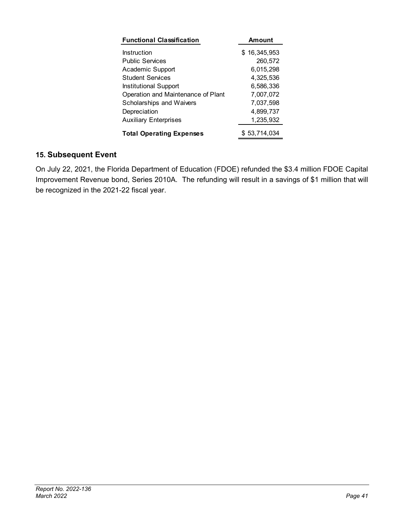| <b>Functional Classification</b>   | Amount       |
|------------------------------------|--------------|
| Instruction                        | \$16,345,953 |
| <b>Public Services</b>             | 260,572      |
| Academic Support                   | 6,015,298    |
| <b>Student Services</b>            | 4,325,536    |
| <b>Institutional Support</b>       | 6,586,336    |
| Operation and Maintenance of Plant | 7,007,072    |
| Scholarships and Waivers           | 7,037,598    |
| Depreciation                       | 4,899,737    |
| <b>Auxiliary Enterprises</b>       | 1,235,932    |
| <b>Total Operating Expenses</b>    | \$53,714,034 |

# **15. Subsequent Event**

On July 22, 2021, the Florida Department of Education (FDOE) refunded the \$3.4 million FDOE Capital Improvement Revenue bond, Series 2010A. The refunding will result in a savings of \$1 million that will be recognized in the 2021-22 fiscal year.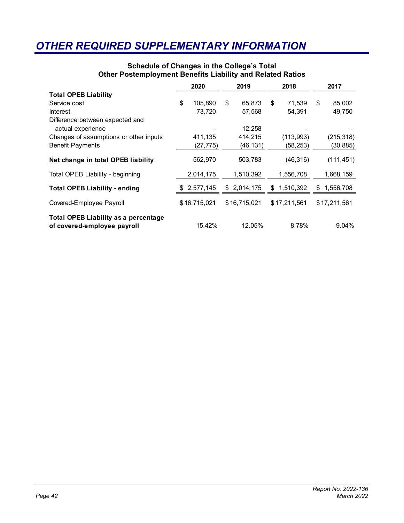# <span id="page-45-0"></span>*OTHER REQUIRED SUPPLEMENTARY INFORMATION*

|                                                                            | 2020          | 2019 |              | 2018 |              |     | 2017         |
|----------------------------------------------------------------------------|---------------|------|--------------|------|--------------|-----|--------------|
| <b>Total OPEB Liability</b>                                                |               |      |              |      |              |     |              |
| Service cost                                                               | \$<br>105,890 | \$   | 65,873       | \$   | 71,539       | \$  | 85,002       |
| <b>Interest</b>                                                            | 73,720        |      | 57,568       |      | 54,391       |     | 49,750       |
| Difference between expected and                                            |               |      |              |      |              |     |              |
| actual experience                                                          |               |      | 12,258       |      |              |     |              |
| Changes of assumptions or other inputs                                     | 411,135       |      | 414,215      |      | (113,993)    |     | (215, 318)   |
| <b>Benefit Payments</b>                                                    | (27, 775)     |      | (46, 131)    |      | (58, 253)    |     | (30, 885)    |
| Net change in total OPEB liability                                         | 562,970       |      | 503,783      |      | (46, 316)    |     | (111, 451)   |
| Total OPEB Liability - beginning                                           | 2,014,175     |      | 1,510,392    |      | 1,556,708    |     | 1,668,159    |
| <b>Total OPEB Liability - ending</b>                                       | \$2,577,145   |      | \$2,014,175  |      | \$1,510,392  | \$. | 1,556,708    |
| Covered-Employee Payroll                                                   | \$16,715,021  |      | \$16,715,021 |      | \$17,211,561 |     | \$17,211,561 |
| <b>Total OPEB Liability as a percentage</b><br>of covered-employee payroll | 15.42%        |      | 12.05%       |      | 8.78%        |     | 9.04%        |

#### **Schedule of Changes in the College's Total Other Postemployment Benefits Liability and Related Ratios**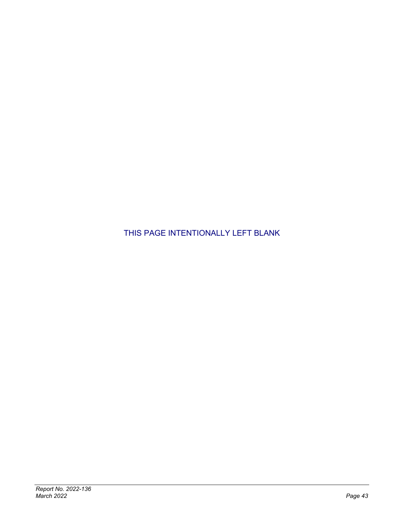THIS PAGE INTENTIONALLY LEFT BLANK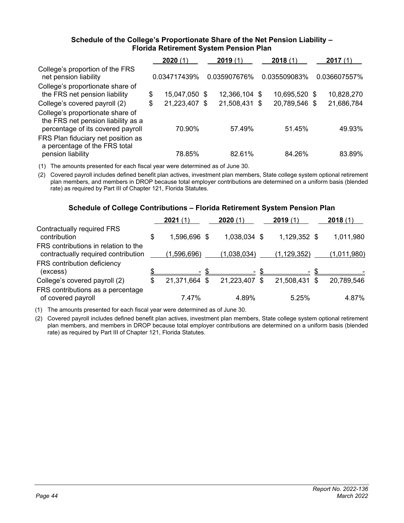#### **Schedule of the College's Proportionate Share of the Net Pension Liability – Florida Retirement System Pension Plan**

<span id="page-47-0"></span>

|                                                                                                             | 2020(1)             |   | 2019(1)       | 2018(1)       | 2017(1)      |
|-------------------------------------------------------------------------------------------------------------|---------------------|---|---------------|---------------|--------------|
| College's proportion of the FRS<br>net pension liability<br>College's proportionate share of                | 0.034717439%        |   | 0.035907676%  | 0.035509083%  | 0.036607557% |
| the FRS net pension liability                                                                               | \$<br>15,047,050 \$ |   | 12,366,104 \$ | 10,695,520 \$ | 10,828,270   |
| College's covered payroll (2)                                                                               | \$<br>21,223,407    | S | 21,508,431 \$ | 20,789,546 \$ | 21,686,784   |
| College's proportionate share of<br>the FRS net pension liability as a<br>percentage of its covered payroll | 70.90%              |   | 57.49%        | 51.45%        | 49.93%       |
| FRS Plan fiduciary net position as<br>a percentage of the FRS total<br>pension liability                    | 78.85%              |   | 82.61%        | 84.26%        | 83.89%       |

(1) The amounts presented for each fiscal year were determined as of June 30.

(2) Covered payroll includes defined benefit plan actives, investment plan members, State college system optional retirement plan members, and members in DROP because total employer contributions are determined on a uniform basis (blended rate) as required by Part III of Chapter 121, Florida Statutes.

#### **Schedule of College Contributions – Florida Retirement System Pension Plan**

|                                                                             | 2021(1)             | 2020(1)                  | 2019(1)          |     | 2018(1)     |
|-----------------------------------------------------------------------------|---------------------|--------------------------|------------------|-----|-------------|
| <b>Contractually required FRS</b><br>contribution                           | \$<br>1,596,696 \$  | 1,038,034 \$             | 1,129,352 \$     |     | 1,011,980   |
| FRS contributions in relation to the<br>contractually required contribution | (1,596,696)         | (1,038,034)              | (1, 129, 352)    |     | (1,011,980) |
| FRS contribution deficiency<br>(excess)                                     |                     | $\overline{\phantom{0}}$ |                  |     |             |
| College's covered payroll (2)<br>FRS contributions as a percentage          | \$<br>21,371,664 \$ | 21,223,407               | \$<br>21,508,431 | \$. | 20,789,546  |
| of covered payroll                                                          | 7.47%               | 4.89%                    | 5.25%            |     | 4.87%       |

(1) The amounts presented for each fiscal year were determined as of June 30.

(2) Covered payroll includes defined benefit plan actives, investment plan members, State college system optional retirement plan members, and members in DROP because total employer contributions are determined on a uniform basis (blended rate) as required by Part III of Chapter 121, Florida Statutes.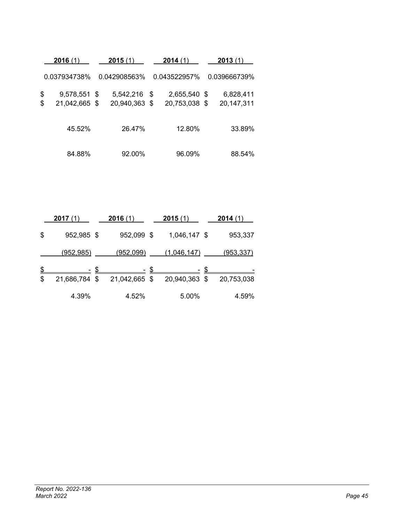| 2016(1) |               |     | 2015(1)      |      | 2014(1)       | 2013 (1 |              |  |  |  |
|---------|---------------|-----|--------------|------|---------------|---------|--------------|--|--|--|
|         | 0.037934738%  |     | 0.042908563% |      | 0.043522957%  |         | 0.039666739% |  |  |  |
| \$      | 9,578,551     | -\$ | 5,542,216    | \$   | 2,655,540 \$  |         | 6,828,411    |  |  |  |
| \$      | 21,042,665 \$ |     | 20,940,363   | - \$ | 20,753,038 \$ |         | 20,147,311   |  |  |  |
|         | 45.52%        |     | 26.47%       |      | 12.80%        |         | 33.89%       |  |  |  |
|         | 84.88%        |     | 92.00%       |      | 96.09%        |         | 88.54%       |  |  |  |

| 2017(1)             |      | 2016(1)       |      | 2015(1)       | 2014(1)    |
|---------------------|------|---------------|------|---------------|------------|
| \$<br>952,985 \$    |      | 952,099       | - \$ | 1,046,147 \$  | 953,337    |
| (952, 985)          |      | (952,099)     |      | (1,046,147)   | (953, 337) |
|                     | - \$ |               |      |               |            |
| \$<br>21,686,784 \$ |      | 21,042,665 \$ |      | 20,940,363 \$ | 20,753,038 |
| 4.39%               |      | 4.52%         |      | 5.00%         | 4.59%      |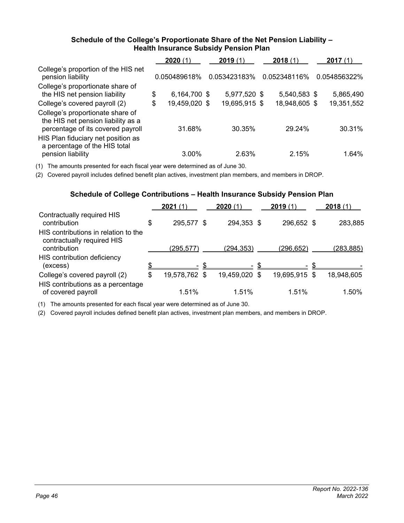#### **Schedule of the College's Proportionate Share of the Net Pension Liability – Health Insurance Subsidy Pension Plan**

<span id="page-49-0"></span>

|                                                                                                             | 2020(1)             | 2019(1)       | 2018(1)       | 2017 (1      |
|-------------------------------------------------------------------------------------------------------------|---------------------|---------------|---------------|--------------|
| College's proportion of the HIS net<br>pension liability<br>College's proportionate share of                | 0.050489618%        | 0.053423183%  | 0.052348116%  | 0.054856322% |
| the HIS net pension liability                                                                               | \$<br>6,164,700 \$  | 5,977,520 \$  | 5,540,583 \$  | 5,865,490    |
| College's covered payroll (2)                                                                               | \$<br>19,459,020 \$ | 19,695,915 \$ | 18,948,605 \$ | 19,351,552   |
| College's proportionate share of<br>the HIS net pension liability as a<br>percentage of its covered payroll | 31.68%              | 30.35%        | 29.24%        | 30.31%       |
| HIS Plan fiduciary net position as<br>a percentage of the HIS total<br>pension liability                    | 3.00%               | 2.63%         | 2.15%         | 1.64%        |

(1) The amounts presented for each fiscal year were determined as of June 30.

(2) Covered payroll includes defined benefit plan actives, investment plan members, and members in DROP.

#### **Schedule of College Contributions – Health Insurance Subsidy Pension Plan**

|                                                                    | 2021(1)             | 2020(1)       | 2019(1)       | 2018(1)    |
|--------------------------------------------------------------------|---------------------|---------------|---------------|------------|
| Contractually required HIS<br>contribution                         | \$<br>295,577 \$    | 294,353 \$    | 296,652 \$    | 283,885    |
| HIS contributions in relation to the<br>contractually required HIS |                     |               |               |            |
| contribution                                                       | (295,577)           | (294,353)     | (296, 652)    | (283,885)  |
| HIS contribution deficiency                                        |                     |               |               |            |
| (excess)                                                           | $\blacksquare$      |               |               |            |
| College's covered payroll (2)                                      | \$<br>19,578,762 \$ | 19,459,020 \$ | 19,695,915 \$ | 18,948,605 |
| HIS contributions as a percentage                                  |                     |               |               |            |
| of covered payroll                                                 | 1.51%               | 1.51%         | 1.51%         | 1.50%      |

(1) The amounts presented for each fiscal year were determined as of June 30.

(2) Covered payroll includes defined benefit plan actives, investment plan members, and members in DROP.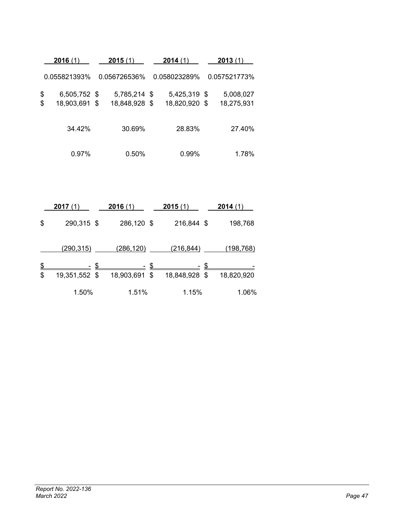| 2016 (1) |              | 2015(1)             | 2014 (1       | 2013 (1 |              |  |  |  |
|----------|--------------|---------------------|---------------|---------|--------------|--|--|--|
|          | 0.055821393% | 0.056726536%        | 0.058023289%  |         | 0.057521773% |  |  |  |
| \$       | 6,505,752 \$ | 5,785,214 \$        | 5,425,319 \$  |         | 5,008,027    |  |  |  |
| \$       | 18,903,691   | \$<br>18,848,928 \$ | 18,820,920 \$ |         | 18,275,931   |  |  |  |
|          | 34.42%       | 30.69%              | 28.83%        |         | 27.40%       |  |  |  |
|          | 0.97%        | 0.50%               | $0.99\%$      |         | 1.78%        |  |  |  |

| 2017(1)             | 2016(1)       | 2015(1)       | 2014(1)    |
|---------------------|---------------|---------------|------------|
| \$<br>290,315 \$    | 286,120 \$    | 216,844 \$    | 198,768    |
| (290, 315)          | (286, 120)    | (216, 844)    | (198, 768) |
|                     |               |               |            |
| \$<br>19,351,552 \$ | 18,903,691 \$ | 18,848,928 \$ | 18,820,920 |
| 1.50%               | 1.51%         | 1.15%         | 1.06%      |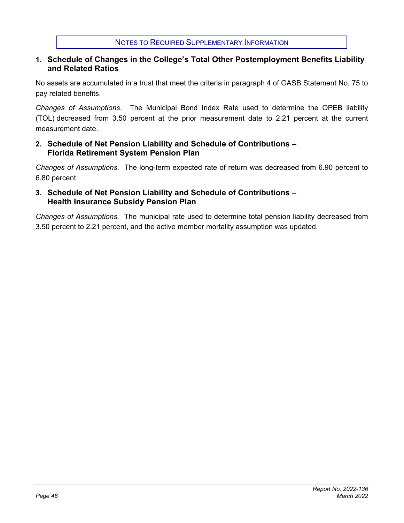# <span id="page-51-0"></span>**1. Schedule of Changes in the College's Total Other Postemployment Benefits Liability and Related Ratios**

No assets are accumulated in a trust that meet the criteria in paragraph 4 of GASB Statement No. 75 to pay related benefits.

*Changes of Assumptions*. The Municipal Bond Index Rate used to determine the OPEB liability (TOL) decreased from 3.50 percent at the prior measurement date to 2.21 percent at the current measurement date.

## **2. Schedule of Net Pension Liability and Schedule of Contributions – Florida Retirement System Pension Plan**

*Changes of Assumptions.* The long-term expected rate of return was decreased from 6.90 percent to 6.80 percent.

# **3. Schedule of Net Pension Liability and Schedule of Contributions – Health Insurance Subsidy Pension Plan**

*Changes of Assumptions.* The municipal rate used to determine total pension liability decreased from 3.50 percent to 2.21 percent, and the active member mortality assumption was updated.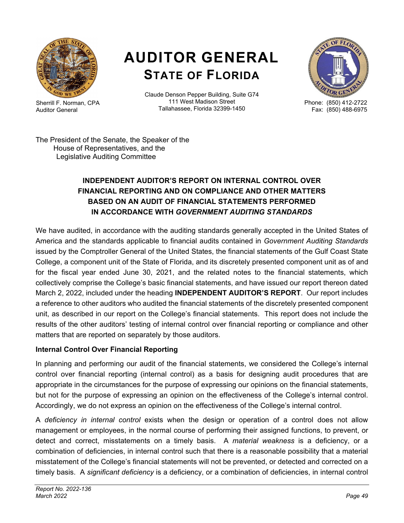<span id="page-52-0"></span>

Sherrill F. Norman, CPA Auditor General

# **AUDITOR GENERAL STATE OF FLORIDA**

Claude Denson Pepper Building, Suite G74 111 West Madison Street Tallahassee, Florida 32399-1450



Phone: (850) 412-2722 Fax: (850) 488-6975

The President of the Senate, the Speaker of the House of Representatives, and the Legislative Auditing Committee

# **INDEPENDENT AUDITOR'S REPORT ON INTERNAL CONTROL OVER FINANCIAL REPORTING AND ON COMPLIANCE AND OTHER MATTERS BASED ON AN AUDIT OF FINANCIAL STATEMENTS PERFORMED IN ACCORDANCE WITH** *GOVERNMENT AUDITING STANDARDS*

We have audited, in accordance with the auditing standards generally accepted in the United States of America and the standards applicable to financial audits contained in *Government Auditing Standards* issued by the Comptroller General of the United States, the financial statements of the Gulf Coast State College, a component unit of the State of Florida, and its discretely presented component unit as of and for the fiscal year ended June 30, 2021, and the related notes to the financial statements, which collectively comprise the College's basic financial statements, and have issued our report thereon dated March 2, 2022, included under the heading **INDEPENDENT AUDITOR'S REPORT**. Our report includes a reference to other auditors who audited the financial statements of the discretely presented component unit, as described in our report on the College's financial statements. This report does not include the results of the other auditors' testing of internal control over financial reporting or compliance and other matters that are reported on separately by those auditors.

# **Internal Control Over Financial Reporting**

In planning and performing our audit of the financial statements, we considered the College's internal control over financial reporting (internal control) as a basis for designing audit procedures that are appropriate in the circumstances for the purpose of expressing our opinions on the financial statements, but not for the purpose of expressing an opinion on the effectiveness of the College's internal control. Accordingly, we do not express an opinion on the effectiveness of the College's internal control.

A *deficiency in internal control* exists when the design or operation of a control does not allow management or employees, in the normal course of performing their assigned functions, to prevent, or detect and correct, misstatements on a timely basis. A *material weakness* is a deficiency, or a combination of deficiencies, in internal control such that there is a reasonable possibility that a material misstatement of the College's financial statements will not be prevented, or detected and corrected on a timely basis. A *significant deficiency* is a deficiency, or a combination of deficiencies, in internal control